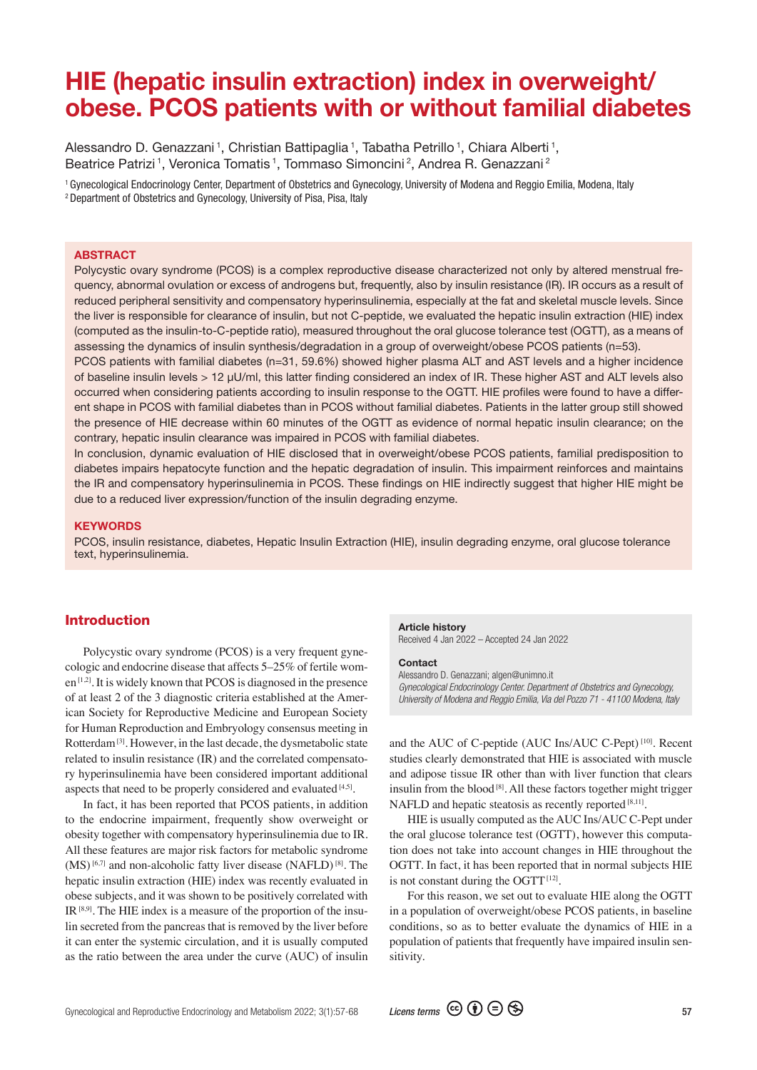# HIE (hepatic insulin extraction) index in overweight/ obese. PCOS patients with or without familial diabetes

Alessandro D. Genazzani<sup>1</sup>, Christian Battipaglia<sup>1</sup>, Tabatha Petrillo<sup>1</sup>, Chiara Alberti<sup>1</sup>, Beatrice Patrizi<sup>1</sup>, Veronica Tomatis<sup>1</sup>, Tommaso Simoncini<sup>2</sup>, Andrea R. Genazzani<sup>2</sup>

1 Gynecological Endocrinology Center, Department of Obstetrics and Gynecology, University of Modena and Reggio Emilia, Modena, Italy

2 Department of Obstetrics and Gynecology, University of Pisa, Pisa, Italy

#### **ABSTRACT**

Polycystic ovary syndrome (PCOS) is a complex reproductive disease characterized not only by altered menstrual frequency, abnormal ovulation or excess of androgens but, frequently, also by insulin resistance (IR). IR occurs as a result of reduced peripheral sensitivity and compensatory hyperinsulinemia, especially at the fat and skeletal muscle levels. Since the liver is responsible for clearance of insulin, but not C-peptide, we evaluated the hepatic insulin extraction (HIE) index (computed as the insulin-to-C-peptide ratio), measured throughout the oral glucose tolerance test (OGTT), as a means of assessing the dynamics of insulin synthesis/degradation in a group of overweight/obese PCOS patients (n=53).

PCOS patients with familial diabetes (n=31, 59.6%) showed higher plasma ALT and AST levels and a higher incidence of baseline insulin levels > 12 μU/ml, this latter finding considered an index of IR. These higher AST and ALT levels also occurred when considering patients according to insulin response to the OGTT. HIE profiles were found to have a different shape in PCOS with familial diabetes than in PCOS without familial diabetes. Patients in the latter group still showed the presence of HIE decrease within 60 minutes of the OGTT as evidence of normal hepatic insulin clearance; on the contrary, hepatic insulin clearance was impaired in PCOS with familial diabetes.

In conclusion, dynamic evaluation of HIE disclosed that in overweight/obese PCOS patients, familial predisposition to diabetes impairs hepatocyte function and the hepatic degradation of insulin. This impairment reinforces and maintains the IR and compensatory hyperinsulinemia in PCOS. These findings on HIE indirectly suggest that higher HIE might be due to a reduced liver expression/function of the insulin degrading enzyme.

#### **KEYWORDS**

PCOS, insulin resistance, diabetes, Hepatic Insulin Extraction (HIE), insulin degrading enzyme, oral glucose tolerance text, hyperinsulinemia.

# Introduction

Polycystic ovary syndrome (PCOS) is a very frequent gynecologic and endocrine disease that affects 5–25% of fertile wom $en^{[1,2]}$ . It is widely known that PCOS is diagnosed in the presence of at least 2 of the 3 diagnostic criteria established at the American Society for Reproductive Medicine and European Society for Human Reproduction and Embryology consensus meeting in Rotterdam [3]. However, in the last decade, the dysmetabolic state related to insulin resistance (IR) and the correlated compensatory hyperinsulinemia have been considered important additional aspects that need to be properly considered and evaluated  $[4,5]$ .

In fact, it has been reported that PCOS patients, in addition to the endocrine impairment, frequently show overweight or obesity together with compensatory hyperinsulinemia due to IR. All these features are major risk factors for metabolic syndrome  $(MS)$ <sup>[6,7]</sup> and non-alcoholic fatty liver disease  $(NAFLD)$ <sup>[8]</sup>. The hepatic insulin extraction (HIE) index was recently evaluated in obese subjects, and it was shown to be positively correlated with IR  $[8,9]$ . The HIE index is a measure of the proportion of the insulin secreted from the pancreas that is removed by the liver before it can enter the systemic circulation, and it is usually computed as the ratio between the area under the curve (AUC) of insulin

# Article history

Received 4 Jan 2022 – Accepted 24 Jan 2022

#### **Contact**

Alessandro D. Genazzani; algen@unimno.it *Gynecological Endocrinology Center. Department of Obstetrics and Gynecology, University of Modena and Reggio Emilia, Via del Pozzo 71 - 41100 Modena, Italy*

and the AUC of C-peptide (AUC Ins/AUC C-Pept) [10]. Recent studies clearly demonstrated that HIE is associated with muscle and adipose tissue IR other than with liver function that clears insulin from the blood<sup>[8]</sup>. All these factors together might trigger NAFLD and hepatic steatosis as recently reported [8,11].

HIE is usually computed as the AUC Ins/AUC C-Pept under the oral glucose tolerance test (OGTT), however this computation does not take into account changes in HIE throughout the OGTT. In fact, it has been reported that in normal subjects HIE is not constant during the OGTT  $[12]$ .

For this reason, we set out to evaluate HIE along the OGTT in a population of overweight/obese PCOS patients, in baseline conditions, so as to better evaluate the dynamics of HIE in a population of patients that frequently have impaired insulin sensitivity.

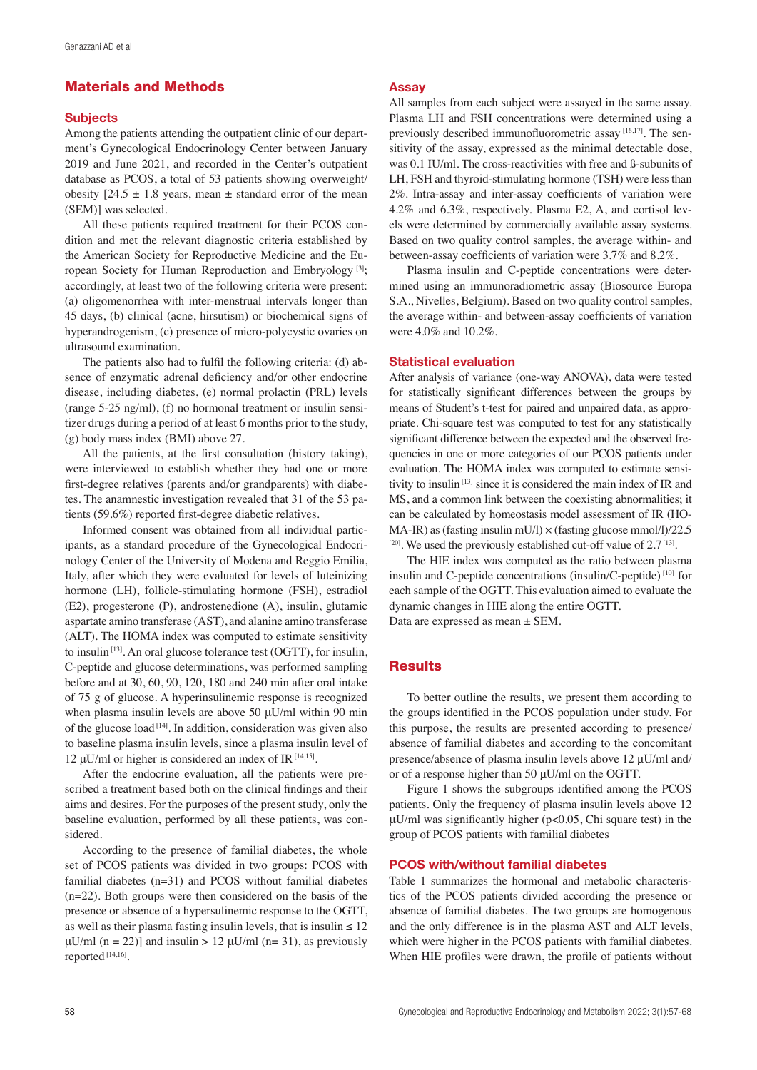# Materials and Methods

#### **Subjects**

Among the patients attending the outpatient clinic of our department's Gynecological Endocrinology Center between January 2019 and June 2021, and recorded in the Center's outpatient database as PCOS, a total of 53 patients showing overweight/ obesity  $[24.5 \pm 1.8 \text{ years}, \text{mean} \pm \text{standard error of the mean}]$ (SEM)] was selected.

All these patients required treatment for their PCOS condition and met the relevant diagnostic criteria established by the American Society for Reproductive Medicine and the European Society for Human Reproduction and Embryology [3]; accordingly, at least two of the following criteria were present: (a) oligomenorrhea with inter-menstrual intervals longer than 45 days, (b) clinical (acne, hirsutism) or biochemical signs of hyperandrogenism, (c) presence of micro-polycystic ovaries on ultrasound examination.

The patients also had to fulfil the following criteria: (d) absence of enzymatic adrenal deficiency and/or other endocrine disease, including diabetes, (e) normal prolactin (PRL) levels (range 5-25 ng/ml), (f) no hormonal treatment or insulin sensitizer drugs during a period of at least 6 months prior to the study, (g) body mass index (BMI) above 27.

All the patients, at the first consultation (history taking), were interviewed to establish whether they had one or more first-degree relatives (parents and/or grandparents) with diabetes. The anamnestic investigation revealed that 31 of the 53 patients (59.6%) reported first-degree diabetic relatives.

Informed consent was obtained from all individual participants, as a standard procedure of the Gynecological Endocrinology Center of the University of Modena and Reggio Emilia, Italy, after which they were evaluated for levels of luteinizing hormone (LH), follicle-stimulating hormone (FSH), estradiol (E2), progesterone (P), androstenedione (A), insulin, glutamic aspartate amino transferase (AST), and alanine amino transferase (ALT). The HOMA index was computed to estimate sensitivity to insulin [13]. An oral glucose tolerance test (OGTT), for insulin, C-peptide and glucose determinations, was performed sampling before and at 30, 60, 90, 120, 180 and 240 min after oral intake of 75 g of glucose. A hyperinsulinemic response is recognized when plasma insulin levels are above 50 μU/ml within 90 min of the glucose load [14]. In addition, consideration was given also to baseline plasma insulin levels, since a plasma insulin level of 12 μU/ml or higher is considered an index of IR  $[14,15]$ .

After the endocrine evaluation, all the patients were prescribed a treatment based both on the clinical findings and their aims and desires. For the purposes of the present study, only the baseline evaluation, performed by all these patients, was considered.

According to the presence of familial diabetes, the whole set of PCOS patients was divided in two groups: PCOS with familial diabetes (n=31) and PCOS without familial diabetes (n=22). Both groups were then considered on the basis of the presence or absence of a hypersulinemic response to the OGTT, as well as their plasma fasting insulin levels, that is insulin  $\leq 12$  $\mu$ U/ml (n = 22)] and insulin > 12  $\mu$ U/ml (n= 31), as previously reported [14,16].

#### Assay

All samples from each subject were assayed in the same assay. Plasma LH and FSH concentrations were determined using a previously described immunofluorometric assay [16,17]. The sensitivity of the assay, expressed as the minimal detectable dose, was 0.1 IU/ml. The cross-reactivities with free and ß-subunits of LH, FSH and thyroid-stimulating hormone (TSH) were less than 2%. Intra-assay and inter-assay coefficients of variation were 4.2% and 6.3%, respectively. Plasma E2, A, and cortisol levels were determined by commercially available assay systems. Based on two quality control samples, the average within- and between-assay coefficients of variation were 3.7% and 8.2%.

Plasma insulin and C-peptide concentrations were determined using an immunoradiometric assay (Biosource Europa S.A., Nivelles, Belgium). Based on two quality control samples, the average within- and between-assay coefficients of variation were 4.0% and 10.2%.

#### Statistical evaluation

After analysis of variance (one-way ANOVA), data were tested for statistically significant differences between the groups by means of Student's t-test for paired and unpaired data, as appropriate. Chi-square test was computed to test for any statistically significant difference between the expected and the observed frequencies in one or more categories of our PCOS patients under evaluation. The HOMA index was computed to estimate sensitivity to insulin [13] since it is considered the main index of IR and MS, and a common link between the coexisting abnormalities; it can be calculated by homeostasis model assessment of IR (HO-MA-IR) as (fasting insulin mU/l)  $\times$  (fasting glucose mmol/l)/22.5  $[20]$ . We used the previously established cut-off value of 2.7 $[13]$ .

The HIE index was computed as the ratio between plasma insulin and C-peptide concentrations (insulin/C-peptide) [10] for each sample of the OGTT. This evaluation aimed to evaluate the dynamic changes in HIE along the entire OGTT. Data are expressed as mean ± SEM.

## **Results**

To better outline the results, we present them according to the groups identified in the PCOS population under study. For this purpose, the results are presented according to presence/ absence of familial diabetes and according to the concomitant presence/absence of plasma insulin levels above 12 μU/ml and/ or of a response higher than 50 μU/ml on the OGTT.

Figure 1 shows the subgroups identified among the PCOS patients. Only the frequency of plasma insulin levels above 12 μU/ml was significantly higher (p<0.05, Chi square test) in the group of PCOS patients with familial diabetes

#### PCOS with/without familial diabetes

Table 1 summarizes the hormonal and metabolic characteristics of the PCOS patients divided according the presence or absence of familial diabetes. The two groups are homogenous and the only difference is in the plasma AST and ALT levels, which were higher in the PCOS patients with familial diabetes. When HIE profiles were drawn, the profile of patients without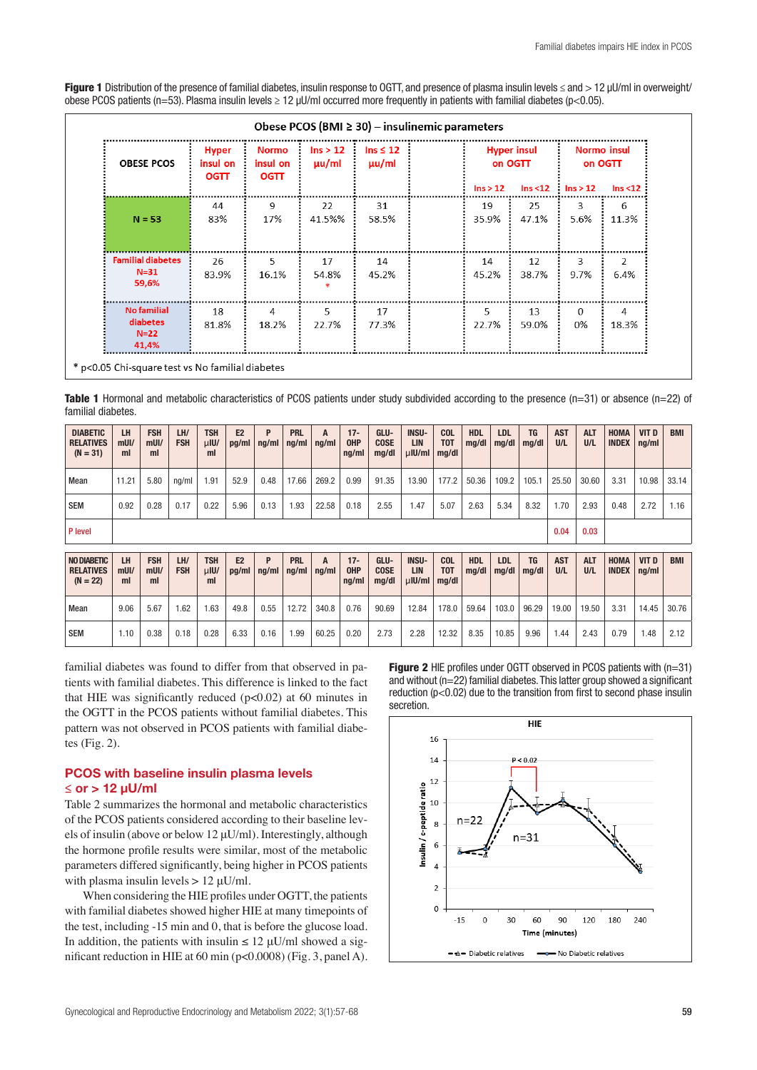Figure 1 Distribution of the presence of familial diabetes, insulin response to OGTT, and presence of plasma insulin levels ≤ and > 12 µU/ml in overweight/ obese PCOS patients (n=53). Plasma insulin levels  $\geq 12$  µU/ml occurred more frequently in patients with familial diabetes (p<0.05).

| <b>OBESE PCOS</b>                                 | <b>Hyper</b><br>insul on<br><b>OGTT</b> | <b>Normo</b><br>insul on<br><b>OGTT</b> | Ins > 12<br>uu/ml | Ins $\leq 12$<br>$\mu$ u/ml | $\ln s > 12$ | <b>Hyper insul</b><br>on OGTT | $\ln s < 12$ : $\ln s > 12$ | <b>Normo insul</b><br>on OGTT<br>Ins < 12 |
|---------------------------------------------------|-----------------------------------------|-----------------------------------------|-------------------|-----------------------------|--------------|-------------------------------|-----------------------------|-------------------------------------------|
| $N = 53$                                          | 44<br>83%                               | 9<br>17%                                | 22<br>41.5%%      | 31<br>58.5%                 | 19<br>35.9%  | 25<br>47.1%                   | 3<br>5.6%                   | 6<br>11.3%                                |
| <b>Familial diabetes</b><br>$N = 31$<br>59,6%     | 26<br>83.9%                             | 5<br>16.1%                              | 17<br>54.8%       | 14<br>45.2%                 | 14<br>45.2%  | 12<br>38.7%                   | 3<br>9.7%                   | $\mathfrak{D}$<br>6.4%                    |
| <b>No familial</b><br>diabetes<br>$N=22$<br>41,4% | 18<br>81.8%                             | 4<br>18.2%                              | 5<br>22.7%        | 17<br>77.3%                 | 5<br>22.7%   | 13<br>59.0%                   | $\Omega$<br>0%              | 4<br>18.3%                                |

Table 1 Hormonal and metabolic characteristics of PCOS patients under study subdivided according to the presence  $(n=31)$  or absence  $(n=22)$  of familial diabetes.

| <b>DIABETIC</b><br><b>RELATIVES</b><br>$(N = 31)$ | LH<br>mUI/<br>ml    | <b>FSH</b><br>$m$ UI/<br>ml | LH/<br><b>FSH</b> | <b>TSH</b><br>$\mu$ IU/<br>ml | E <sub>2</sub><br>pg/ml | P<br>nq/ml | <b>PRL</b><br>nq/ml | A<br>nq/ml | $17 -$<br><b>OHP</b><br>nq/ml | GLU-<br><b>COSE</b><br>mq/dl | <b>INSU-</b><br><b>LIN</b><br>$\mu$ IU/ml | <b>COL</b><br>T <sub>0</sub> T<br>mq/dl | <b>HDL</b><br>mg/dl | <b>LDL</b><br>mq/dl | <b>TG</b><br>mq/dl | <b>AST</b><br>U/L | <b>ALT</b><br>U/L | HOMA<br><b>INDEX</b>        | <b>VIT D</b><br>ng/ml | <b>BMI</b> |
|---------------------------------------------------|---------------------|-----------------------------|-------------------|-------------------------------|-------------------------|------------|---------------------|------------|-------------------------------|------------------------------|-------------------------------------------|-----------------------------------------|---------------------|---------------------|--------------------|-------------------|-------------------|-----------------------------|-----------------------|------------|
| Mean                                              | 11.21               | 5.80                        | ng/ml             | 1.91                          | 52.9                    | 0.48       | 17.66               | 269.2      | 0.99                          | 91.35                        | 13.90                                     | 177.2                                   | 50.36               | 109.2               | 105.1              | 25.50             | 30.60             | 3.31                        | 10.98                 | 33.14      |
| <b>SEM</b>                                        | 0.92                | 0.28                        | 0.17              | 0.22                          | 5.96                    | 0.13       | 1.93                | 22.58      | 0.18                          | 2.55                         | 1.47                                      | 5.07                                    | 2.63                | 5.34                | 8.32               | 1.70              | 2.93              | 0.48                        | 2.72                  | 1.16       |
| P level                                           |                     |                             |                   |                               |                         |            |                     |            |                               |                              |                                           |                                         |                     |                     |                    | 0.04              | 0.03              |                             |                       |            |
| NO DIABETIC<br><b>RELATIVES</b><br>$(N = 22)$     | LH<br>$m$ UI/<br>ml | <b>FSH</b><br>$m$ Ul/<br>ml | LH/<br><b>FSH</b> | <b>TSH</b><br>$\mu$ IU/<br>ml | E2<br>pg/ml             | P<br>ng/ml | <b>PRL</b><br>ng/ml | A<br>ng/ml | $17 -$<br><b>OHP</b><br>ng/ml | GLU-<br><b>COSE</b><br>mg/dl | <b>INSU-</b><br>LIN<br>$\mu$ IU/ml        | <b>COL</b><br>T <sub>0</sub> T<br>mq/dl | <b>HDL</b><br>mg/dl | <b>LDL</b><br>mq/dl | <b>TG</b><br>mq/dl | <b>AST</b><br>U/L | <b>ALT</b><br>U/L | <b>HOMA</b><br><b>INDEX</b> | <b>VIT D</b><br>ng/ml | <b>BMI</b> |
| Mean                                              | 9.06                | 5.67                        | .62               | 1.63                          | 49.8                    | 0.55       | 12.72               | 340.8      | 0.76                          | 90.69                        | 12.84                                     | 178.0                                   | 59.64               | 103.0               | 96.29              | 19.00             | 19.50             | 3.31                        | 14.45                 | 30.76      |
| <b>SEM</b>                                        |                     |                             |                   |                               |                         |            |                     |            |                               |                              |                                           |                                         |                     |                     |                    |                   |                   |                             |                       |            |

familial diabetes was found to differ from that observed in patients with familial diabetes. This difference is linked to the fact that HIE was significantly reduced  $(p<0.02)$  at 60 minutes in the OGTT in the PCOS patients without familial diabetes. This pattern was not observed in PCOS patients with familial diabetes (Fig. 2).

## PCOS with baseline insulin plasma levels  $<$  or  $> 12$  uU/ml

 $\ast$ 

Table 2 summarizes the hormonal and metabolic characteristics of the PCOS patients considered according to their baseline levels of insulin (above or below 12 μU/ml). Interestingly, although the hormone profile results were similar, most of the metabolic parameters differed significantly, being higher in PCOS patients with plasma insulin levels  $> 12 \mu U/ml$ .

When considering the HIE profiles under OGTT, the patients with familial diabetes showed higher HIE at many timepoints of the test, including -15 min and 0, that is before the glucose load. In addition, the patients with insulin  $\leq 12$  uU/ml showed a significant reduction in HIE at 60 min (p<0.0008) (Fig. 3, panel A). **Figure 2** HIE profiles under OGTT observed in PCOS patients with (n=31) and without (n=22) familial diabetes. This latter group showed a significant reduction (p<0.02) due to the transition from first to second phase insulin secretion.

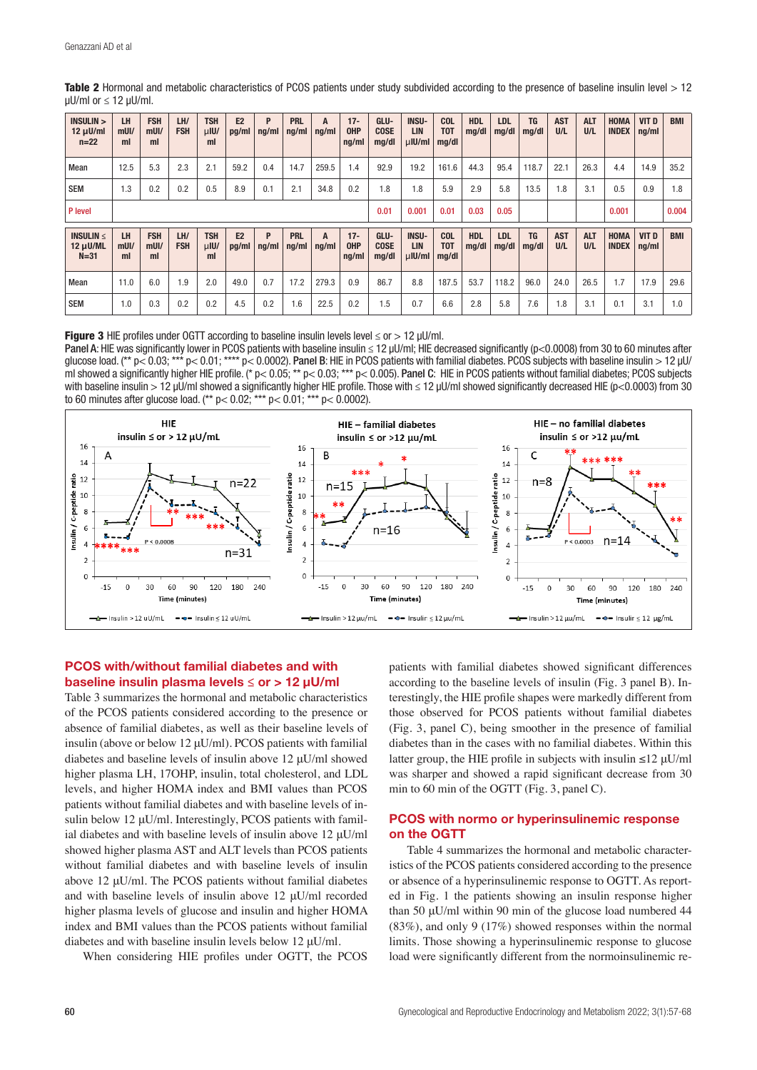| <b>INSULIN &gt;</b><br>$12 \mu$ U/ml<br>$n=22$ | LH<br>mUI/<br>ml    | <b>FSH</b><br>$m$ UI/<br>ml | LH/<br><b>FSH</b> | <b>TSH</b><br>$\mu$ IU/<br>ml | E <sub>2</sub><br>pg/ml | P<br>nq/ml | <b>PRL</b><br>ng/ml | A<br>ng/ml | $17 -$<br><b>OHP</b><br>ng/ml | GLU-<br><b>COSE</b><br>mg/dl | <b>INSU-</b><br><b>LIN</b><br>$\mu$ IU/ml | <b>COL</b><br><b>TOT</b><br>mg/dl | <b>HDL</b><br>mg/dl | <b>LDL</b><br>mq/dl | <b>TG</b><br>mq/dl | <b>AST</b><br>U/L | <b>ALT</b><br>U/L | <b>HOMA</b><br><b>INDEX</b> | VIT D<br>ng/ml | <b>BMI</b> |
|------------------------------------------------|---------------------|-----------------------------|-------------------|-------------------------------|-------------------------|------------|---------------------|------------|-------------------------------|------------------------------|-------------------------------------------|-----------------------------------|---------------------|---------------------|--------------------|-------------------|-------------------|-----------------------------|----------------|------------|
| Mean                                           | 12.5                | 5.3                         | 2.3               | 2.1                           | 59.2                    | 0.4        | 14.7                | 259.5      | 1.4                           | 92.9                         | 19.2                                      | 161.6                             | 44.3                | 95.4                | 118.7              | 22.1              | 26.3              | 4.4                         | 14.9           | 35.2       |
| <b>SEM</b>                                     | 1.3                 | 0.2                         | 0.2               | 0.5                           | 8.9                     | 0.1        | 2.1                 | 34.8       | 0.2                           | 1.8                          | 1.8                                       | 5.9                               | 2.9                 | 5.8                 | 13.5               | 1.8               | 3.1               | 0.5                         | 0.9            | 1.8        |
| P level                                        |                     |                             |                   |                               |                         |            |                     |            |                               | 0.01                         | 0.001                                     | 0.01                              | 0.03                | 0.05                |                    |                   |                   | 0.001                       |                | 0.004      |
| INSULIN $\leq$<br>$12 \mu$ U/ML<br>$N = 31$    | LH<br>$m$ UI/<br>ml | <b>FSH</b><br>$m$ UI/<br>ml | LH/<br><b>FSH</b> | <b>TSH</b><br>$\mu$ IU/<br>ml | E2<br>pg/ml             | P<br>nq/ml | <b>PRL</b><br>ng/ml | A<br>nq/ml | $17 -$<br><b>OHP</b><br>ng/ml | GLU-<br><b>COSE</b><br>mq/dl | <b>INSU-</b><br>LIN<br>$\mu$ IU/ml        | <b>COL</b><br><b>TOT</b><br>mg/dl | <b>HDL</b><br>mg/dl | <b>LDL</b><br>mq/dl | <b>TG</b><br>mq/dl | <b>AST</b><br>U/L | <b>ALT</b><br>U/L | <b>HOMA</b><br><b>INDEX</b> | VIT D<br>ng/ml | <b>BMI</b> |
| Mean                                           | 11.0                | 6.0                         | 1.9               | 2.0                           | 49.0                    | 0.7        | 17.2                | 279.3      | 0.9                           | 86.7                         | 8.8                                       | 187.5                             | 53.7                | 118.2               | 96.0               | 24.0              | 26.5              | 1.7                         | 17.9           | 29.6       |
| <b>SEM</b>                                     | 1.0                 | 0.3                         | 0.2               | 0.2                           | 4.5                     | 0.2        | 6.6                 | 22.5       | 0.2                           | 1.5                          | 0.7                                       | 6.6                               | 2.8                 | 5.8                 | 7.6                | 1.8               | 3.1               | 0.1                         | 3.1            | 1.0        |

Table 2 Hormonal and metabolic characteristics of PCOS patients under study subdivided according to the presence of baseline insulin level > 12 µU/ml or ≤ 12 µU/ml.

Figure 3 HIE profiles under OGTT according to baseline insulin levels level  $\leq$  or  $>$  12 µU/ml.

Panel A: HIE was significantly lower in PCOS patients with baseline insulin ≤ 12 µU/ml; HIE decreased significantly (p<0.0008) from 30 to 60 minutes after glucose load. (\*\* p< 0.03; \*\*\* p< 0.01; \*\*\*\* p< 0.0002). Panel B: HIE in PCOS patients with familial diabetes. PCOS subjects with baseline insulin > 12 µU/ ml showed a significantly higher HIE profile. (\*  $p < 0.05$ ; \*\*  $p < 0.03$ ; \*\*\*  $p < 0.005$ ). Panel C: HIE in PCOS patients without familial diabetes; PCOS subjects with baseline insulin > 12 μU/ml showed a significantly higher HIE profile. Those with ≤ 12 μU/ml showed significantly decreased HIE (p<0.0003) from 30 to 60 minutes after glucose load. (\*\* p< 0.02; \*\*\* p< 0.01; \*\*\* p< 0.0002).



#### PCOS with/without familial diabetes and with baseline insulin plasma levels ≤ or > 12 μU/ml

Table 3 summarizes the hormonal and metabolic characteristics of the PCOS patients considered according to the presence or absence of familial diabetes, as well as their baseline levels of insulin (above or below 12 μU/ml). PCOS patients with familial diabetes and baseline levels of insulin above 12 μU/ml showed higher plasma LH, 17OHP, insulin, total cholesterol, and LDL levels, and higher HOMA index and BMI values than PCOS patients without familial diabetes and with baseline levels of insulin below 12 μU/ml. Interestingly, PCOS patients with familial diabetes and with baseline levels of insulin above 12 μU/ml showed higher plasma AST and ALT levels than PCOS patients without familial diabetes and with baseline levels of insulin above 12 μU/ml. The PCOS patients without familial diabetes and with baseline levels of insulin above 12 μU/ml recorded higher plasma levels of glucose and insulin and higher HOMA index and BMI values than the PCOS patients without familial diabetes and with baseline insulin levels below 12 μU/ml.

When considering HIE profiles under OGTT, the PCOS

patients with familial diabetes showed significant differences according to the baseline levels of insulin (Fig. 3 panel B). Interestingly, the HIE profile shapes were markedly different from those observed for PCOS patients without familial diabetes (Fig. 3, panel C), being smoother in the presence of familial diabetes than in the cases with no familial diabetes. Within this latter group, the HIE profile in subjects with insulin  $\leq$ 12  $\mu$ U/ml was sharper and showed a rapid significant decrease from 30 min to 60 min of the OGTT (Fig. 3, panel C).

#### PCOS with normo or hyperinsulinemic response on the OGTT

Table 4 summarizes the hormonal and metabolic characteristics of the PCOS patients considered according to the presence or absence of a hyperinsulinemic response to OGTT. As reported in Fig. 1 the patients showing an insulin response higher than 50 μU/ml within 90 min of the glucose load numbered 44 (83%), and only 9 (17%) showed responses within the normal limits. Those showing a hyperinsulinemic response to glucose load were significantly different from the normoinsulinemic re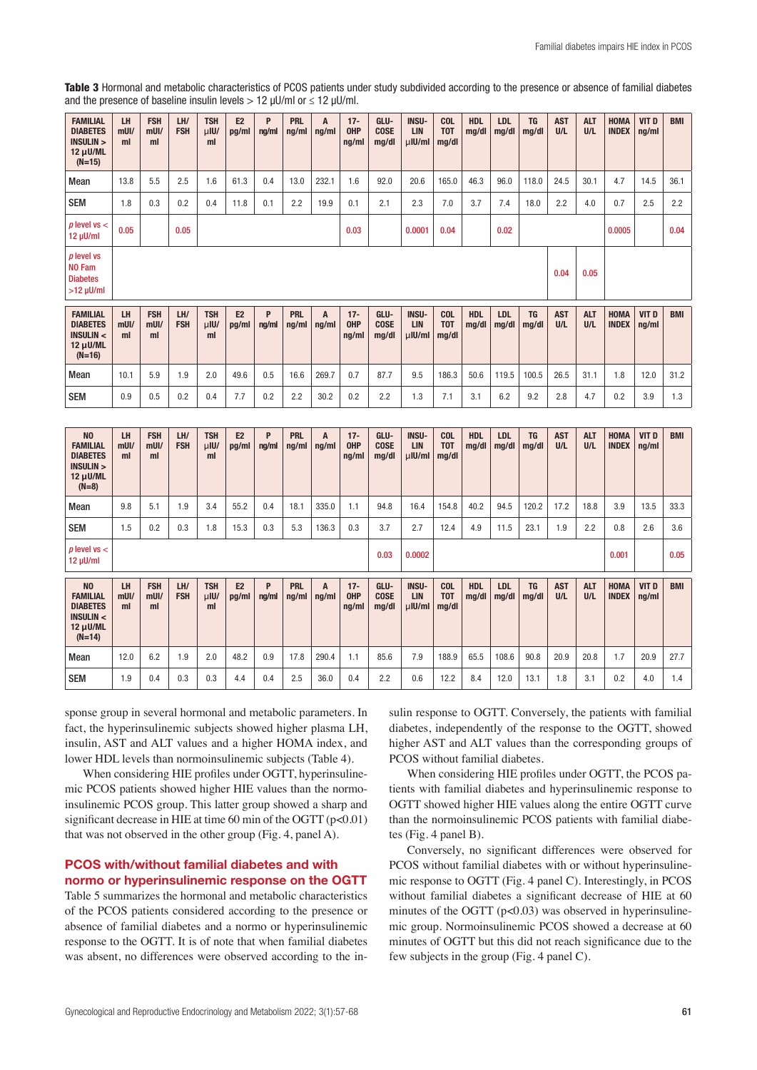Table 3 Hormonal and metabolic characteristics of PCOS patients under study subdivided according to the presence or absence of familial diabetes and the presence of baseline insulin levels  $> 12$  µU/ml or  $\leq 12$  µU/ml.

| <b>FAMILIAL</b><br><b>DIABETES</b><br><b>INSULIN &gt;</b><br>12 µU/ML<br>$(N=15)$ | LH<br>$m$ Ul/<br>ml | <b>FSH</b><br>$m$ UI/<br>m <sub>l</sub> | LH/<br><b>FSH</b> | <b>TSH</b><br>$\mu$ IU/<br>ml | E2<br>pg/ml | P<br>ng/ml | <b>PRL</b><br>ng/ml | A<br>ng/ml | $17 -$<br><b>OHP</b><br>ng/ml | GLU-<br><b>COSE</b><br>mg/dl | <b>INSU-</b><br>LIN<br>µlU/ml        | <b>COL</b><br><b>TOT</b><br>mg/dl | <b>HDL</b><br>mg/dl | <b>LDL</b><br>mg/dl | <b>TG</b><br>mg/dl | <b>AST</b><br>U/L | <b>ALT</b><br>U/L | <b>HOMA</b><br><b>INDEX</b> | <b>VIT D</b><br>ng/ml | <b>BMI</b> |
|-----------------------------------------------------------------------------------|---------------------|-----------------------------------------|-------------------|-------------------------------|-------------|------------|---------------------|------------|-------------------------------|------------------------------|--------------------------------------|-----------------------------------|---------------------|---------------------|--------------------|-------------------|-------------------|-----------------------------|-----------------------|------------|
| Mean                                                                              | 13.8                | 5.5                                     | 2.5               | 1.6                           | 61.3        | 0.4        | 13.0                | 232.1      | 1.6                           | 92.0                         | 20.6                                 | 165.0                             | 46.3                | 96.0                | 118.0              | 24.5              | 30.1              | 4.7                         | 14.5                  | 36.1       |
| <b>SEM</b>                                                                        | 1.8                 | 0.3                                     | 0.2               | 0.4                           | 11.8        | 0.1        | 2.2                 | 19.9       | 0.1                           | 2.1                          | 2.3                                  | 7.0                               | 3.7                 | 7.4                 | 18.0               | 2.2               | 4.0               | 0.7                         | 2.5                   | 2.2        |
| $p$ level vs $\lt$<br>12 µU/ml                                                    | 0.05                |                                         | 0.05              |                               |             |            |                     |            | 0.03                          |                              | 0.0001                               | 0.04                              |                     | 0.02                |                    |                   |                   | 0.0005                      |                       | 0.04       |
| $p$ level vs<br><b>NO Fam</b><br><b>Diabetes</b><br>$>12$ µU/ml                   |                     |                                         |                   |                               |             |            |                     |            |                               |                              |                                      |                                   |                     |                     |                    | 0.04              | 0.05              |                             |                       |            |
| <b>FAMILIAL</b><br><b>DIABETES</b><br><b>INSULIN &lt;</b><br>12 µU/ML<br>$(N=16)$ | LH<br>$m$ UI/<br>ml | <b>FSH</b><br>$m$ UI/<br>ml             | LH/<br><b>FSH</b> | <b>TSH</b><br>$\mu$ IU/<br>ml | E2<br>pg/ml | P<br>ng/ml | <b>PRL</b><br>ng/ml | A<br>ng/ml | $17 -$<br><b>OHP</b><br>ng/ml | GLU-<br><b>COSE</b><br>mg/dl | <b>INSU-</b><br><b>LIN</b><br>µlU/ml | <b>COL</b><br><b>TOT</b><br>mg/dl | <b>HDL</b><br>mg/dl | <b>LDL</b><br>mg/dl | <b>TG</b><br>mg/dl | <b>AST</b><br>U/L | <b>ALT</b><br>U/L | <b>HOMA</b><br><b>INDEX</b> | VIT D<br>ng/ml        | <b>BMI</b> |
| Mean                                                                              | 10.1                | 5.9                                     | 1.9               | 2.0                           | 49.6        | 0.5        | 16.6                | 269.7      | 0.7                           | 87.7                         | 9.5                                  | 186.3                             | 50.6                | 119.5               | 100.5              | 26.5              | 31.1              | 1.8                         | 12.0                  | 31.2       |
| <b>SEM</b>                                                                        |                     |                                         |                   |                               |             |            |                     |            |                               |                              |                                      |                                   |                     |                     |                    |                   |                   |                             |                       |            |
|                                                                                   | 0.9                 | 0.5                                     | 0.2               | 0.4                           | 7.7         | 0.2        | 2.2                 | 30.2       | 0.2                           | 2.2                          | 1.3                                  | 7.1                               | 3.1                 | 6.2                 | 9.2                | 2.8               | 4.7               | 0.2                         | 3.9                   | 1.3        |
|                                                                                   |                     |                                         |                   |                               |             |            |                     |            |                               |                              |                                      |                                   |                     |                     |                    |                   |                   |                             |                       |            |

| Mean                                                                                           | 9.8                 | 5.1                         | 1.9               | 3.4                           | 55.2        | 0.4        | 18.1                | 335.0                | 1.1                           | 94.8                         | 16.4                                      | 154.8                                 | 40.2                | 94.5                | 120.2              | 17.2              | 18.8              | 3.9                         | 13.5           | 33.3       |
|------------------------------------------------------------------------------------------------|---------------------|-----------------------------|-------------------|-------------------------------|-------------|------------|---------------------|----------------------|-------------------------------|------------------------------|-------------------------------------------|---------------------------------------|---------------------|---------------------|--------------------|-------------------|-------------------|-----------------------------|----------------|------------|
| <b>SEM</b>                                                                                     | 1.5                 | 0.2                         | 0.3               | 1.8                           | 15.3        | 0.3        | 5.3                 | 136.3                | 0.3                           | 3.7                          | 2.7                                       | 12.4                                  | 4.9                 | 11.5                | 23.1               | 1.9               | 2.2               | 0.8                         | 2.6            | 3.6        |
| $p$ level vs $\lt$<br>$12 \mu$ U/ml                                                            |                     |                             |                   |                               |             |            |                     |                      |                               | 0.03                         | 0.0002                                    |                                       |                     |                     |                    |                   |                   | 0.001                       |                | 0.05       |
| N <sub>0</sub><br><b>FAMILIAL</b><br><b>DIABETES</b><br>INSULIN <<br>$12 \mu$ U/ML<br>$(N=14)$ | LH<br>$m$ UI/<br>ml | <b>FSH</b><br>$m$ UI/<br>ml | LH/<br><b>FSH</b> | <b>TSH</b><br>$\mu$ IU/<br>ml | E2<br>pg/ml | P<br>ng/ml | <b>PRL</b><br>ng/ml | A<br>$\frac{ng}{ml}$ | $17 -$<br><b>OHP</b><br>nq/ml | GLU-<br><b>COSE</b><br>mg/dl | <b>INSU-</b><br><b>LIN</b><br>$\mu$ IU/ml | <b>COL</b><br>T <sub>0</sub><br>mg/dl | <b>HDL</b><br>mq/dl | <b>LDL</b><br>mq/dl | <b>TG</b><br>mq/dl | <b>AST</b><br>U/L | <b>ALT</b><br>U/L | <b>HOMA</b><br><b>INDEX</b> | VIT D<br>ng/ml | <b>BMI</b> |
| Mean                                                                                           | 12.0                | 6.2                         | 1.9               | 2.0                           | 48.2        | 0.9        | 17.8                | 290.4                | 1.1                           | 85.6                         | 7.9                                       | 188.9                                 | 65.5                | 108.6               | 90.8               | 20.9              | 20.8              | 1.7                         | 20.9           | 27.7       |
| <b>SEM</b>                                                                                     | 1.9                 | 0.4                         | 0.3               | 0.3                           | 4.4         | 0.4        | 2.5                 | 36.0                 | 0.4                           | 2.2                          | 0.6                                       | 12.2                                  | 8.4                 | 12.0                | 13.1               | 1.8               | 3.1               | 0.2                         | 4.0            | 1.4        |

sponse group in several hormonal and metabolic parameters. In fact, the hyperinsulinemic subjects showed higher plasma LH, insulin, AST and ALT values and a higher HOMA index, and lower HDL levels than normoinsulinemic subjects (Table 4).

When considering HIE profiles under OGTT, hyperinsulinemic PCOS patients showed higher HIE values than the normoinsulinemic PCOS group. This latter group showed a sharp and significant decrease in HIE at time 60 min of the OGTT  $(p<0.01)$ that was not observed in the other group (Fig. 4, panel A).

## PCOS with/without familial diabetes and with normo or hyperinsulinemic response on the OGTT

Table 5 summarizes the hormonal and metabolic characteristics of the PCOS patients considered according to the presence or absence of familial diabetes and a normo or hyperinsulinemic response to the OGTT. It is of note that when familial diabetes was absent, no differences were observed according to the insulin response to OGTT. Conversely, the patients with familial diabetes, independently of the response to the OGTT, showed higher AST and ALT values than the corresponding groups of PCOS without familial diabetes.

When considering HIE profiles under OGTT, the PCOS patients with familial diabetes and hyperinsulinemic response to OGTT showed higher HIE values along the entire OGTT curve than the normoinsulinemic PCOS patients with familial diabetes (Fig. 4 panel B).

Conversely, no significant differences were observed for PCOS without familial diabetes with or without hyperinsulinemic response to OGTT (Fig. 4 panel C). Interestingly, in PCOS without familial diabetes a significant decrease of HIE at 60 minutes of the OGTT ( $p<0.03$ ) was observed in hyperinsulinemic group. Normoinsulinemic PCOS showed a decrease at 60 minutes of OGTT but this did not reach significance due to the few subjects in the group (Fig. 4 panel C).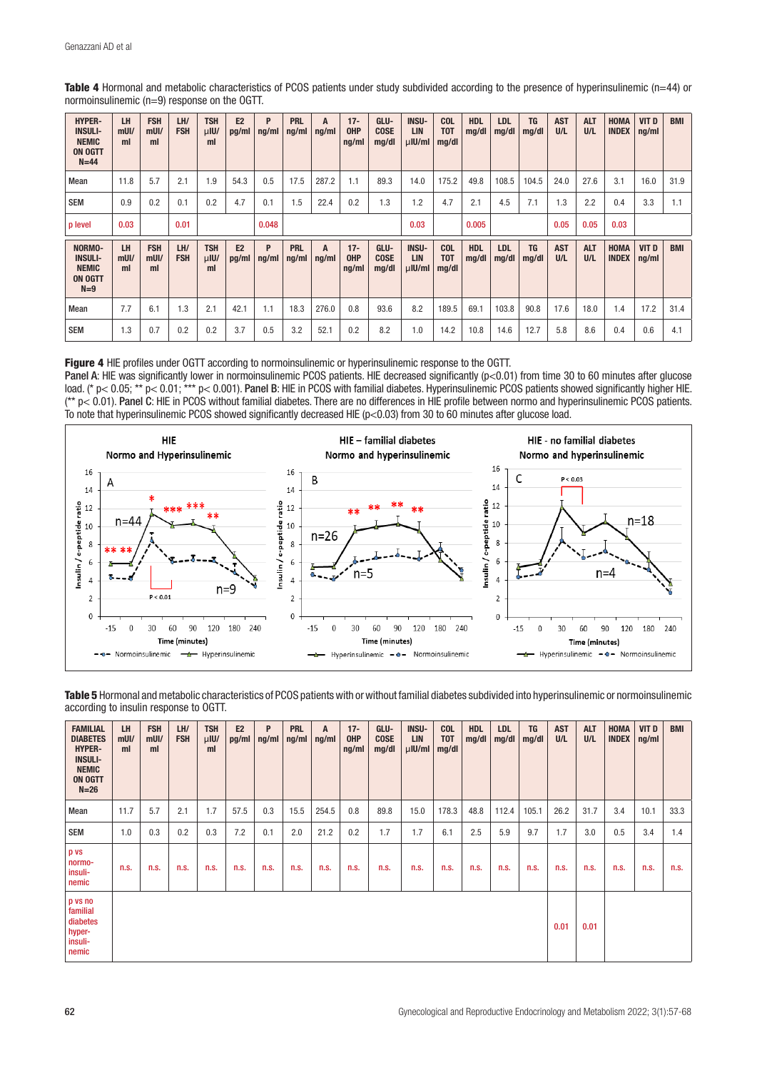| <b>HYPER-</b><br><b>INSULI-</b><br><b>NEMIC</b><br><b>ON OGTT</b><br>$N=44$ | LH<br>$m$ UI/<br>ml | <b>FSH</b><br>$m$ UI/<br>ml | LH/<br><b>FSH</b> | <b>TSH</b><br>$\mu$ IU/<br>ml | E2<br>pg/ml | P<br>nq/ml | <b>PRL</b><br>$\lfloor nq/m \rfloor$ | A<br>ng/ml | $17 -$<br><b>OHP</b><br>ng/ml | GLU-<br><b>COSE</b><br>mg/dl | <b>INSU-</b><br><b>LIN</b><br>$\mu$ IU/ml | <b>COL</b><br><b>TOT</b><br>mq/dl     | <b>HDL</b><br>mg/dl | <b>LDL</b><br>mg/dl | <b>TG</b><br>mq/dl | <b>AST</b><br>U/L | <b>ALT</b><br>U/L | <b>HOMA</b><br><b>INDEX</b> | VIT D<br>ng/ml | <b>BMI</b> |
|-----------------------------------------------------------------------------|---------------------|-----------------------------|-------------------|-------------------------------|-------------|------------|--------------------------------------|------------|-------------------------------|------------------------------|-------------------------------------------|---------------------------------------|---------------------|---------------------|--------------------|-------------------|-------------------|-----------------------------|----------------|------------|
| Mean                                                                        | 11.8                | 5.7                         | 2.1               | 1.9                           | 54.3        | 0.5        | 17.5                                 | 287.2      | 1.1                           | 89.3                         | 14.0                                      | 175.2                                 | 49.8                | 108.5               | 104.5              | 24.0              | 27.6              | 3.1                         | 16.0           | 31.9       |
| <b>SEM</b>                                                                  | 0.9                 | 0.2                         | 0.1               | 0.2                           | 4.7         | 0.1        | 1.5                                  | 22.4       | 0.2                           | 1.3                          | 1.2                                       | 4.7                                   | 2.1                 | 4.5                 | 7.1                | 1.3               | 2.2               | 0.4                         | 3.3            | 1.1        |
| p level                                                                     | 0.03                |                             | 0.01              |                               |             | 0.048      |                                      |            |                               |                              | 0.03                                      |                                       | 0.005               |                     |                    | 0.05              | 0.05              | 0.03                        |                |            |
| NORMO-<br><b>INSULI-</b><br><b>NEMIC</b><br><b>ON OGTT</b><br>$N=9$         | LH<br>$m$ UI/<br>ml | <b>FSH</b><br>$m$ UI/<br>ml | LH/<br><b>FSH</b> | <b>TSH</b><br>$\mu$ IU/<br>ml | E2<br>pg/ml | P<br>ng/ml | <b>PRL</b><br>ng/ml                  | A<br>ng/ml | $17 -$<br><b>OHP</b><br>ng/ml | GLU-<br><b>COSE</b><br>mg/dl | <b>INSU-</b><br><b>LIN</b><br>$\mu$ IU/ml | <b>COL</b><br>T <sub>0</sub><br>mq/dl | <b>HDL</b><br>mg/dl | <b>LDL</b><br>mq/dl | <b>TG</b><br>mg/dl | <b>AST</b><br>U/L | <b>ALT</b><br>U/L | <b>HOMA</b><br><b>INDEX</b> | VIT D<br>ng/ml | <b>BMI</b> |
| Mean                                                                        | 7.7                 | 6.1                         | 1.3               | 2.1                           | 42.1        | 1.1        | 18.3                                 | 276.0      | 0.8                           | 93.6                         | 8.2                                       | 189.5                                 | 69.1                | 103.8               | 90.8               | 17.6              | 18.0              | 1.4                         | 17.2           | 31.4       |
| <b>SEM</b>                                                                  | 1.3                 | 0.7                         | 0.2               | 0.2                           | 3.7         | 0.5        | 3.2                                  | 52.1       | 0.2                           | 8.2                          | 1.0                                       | 14.2                                  | 10.8                | 14.6                | 12.7               | 5.8               | 8.6               | 0.4                         | 0.6            | 4.1        |

Table 4 Hormonal and metabolic characteristics of PCOS patients under study subdivided according to the presence of hyperinsulinemic (n=44) or normoinsulinemic (n=9) response on the OGTT.

Figure 4 HIE profiles under OGTT according to normoinsulinemic or hyperinsulinemic response to the OGTT.

Panel A: HIE was significantly lower in normoinsulinemic PCOS patients. HIE decreased significantly (p<0.01) from time 30 to 60 minutes after glucose load. (\* p< 0.05; \*\* p< 0.01; \*\*\* p< 0.001). Panel B: HIE in PCOS with familial diabetes. Hyperinsulinemic PCOS patients showed significantly higher HIE. (\*\* p< 0.01). Panel C: HIE in PCOS without familial diabetes. There are no differences in HIE profile between normo and hyperinsulinemic PCOS patients. To note that hyperinsulinemic PCOS showed significantly decreased HIE (p<0.03) from 30 to 60 minutes after glucose load.



Table 5 Hormonal and metabolic characteristics of PCOS patients with or without familial diabetes subdivided into hyperinsulinemic or normoinsulinemic according to insulin response to OGTT.

| <b>FAMILIAL</b><br><b>DIABETES</b><br><b>HYPER-</b><br><b>INSULI-</b><br><b>NEMIC</b><br><b>ON OGTT</b><br>$N=26$ | LH<br>$m$ UI/<br>ml | <b>FSH</b><br>$m$ UI/<br>ml | LH/<br><b>FSH</b> | <b>TSH</b><br>$\mu$ IU/<br>ml | E2<br>pg/ml | P<br>ng/ml | <b>PRL</b><br>ng/ml | A<br>ng/ml | $17 -$<br><b>OHP</b><br>ng/ml | GLU-<br><b>COSE</b><br>mg/dl | <b>INSU-</b><br><b>LIN</b><br>$\mu$ IU/ml | <b>COL</b><br><b>TOT</b><br>mq/dl | <b>HDL</b><br>mg/dl | <b>LDL</b><br>mg/dl | <b>TG</b><br>mg/dl | <b>AST</b><br>U/L | <b>ALT</b><br>U/L | HOMA<br><b>INDEX</b> | VIT D<br>ng/ml | <b>BMI</b> |
|-------------------------------------------------------------------------------------------------------------------|---------------------|-----------------------------|-------------------|-------------------------------|-------------|------------|---------------------|------------|-------------------------------|------------------------------|-------------------------------------------|-----------------------------------|---------------------|---------------------|--------------------|-------------------|-------------------|----------------------|----------------|------------|
| Mean                                                                                                              | 11.7                | 5.7                         | 2.1               | 1.7                           | 57.5        | 0.3        | 15.5                | 254.5      | 0.8                           | 89.8                         | 15.0                                      | 178.3                             | 48.8                | 112.4               | 105.1              | 26.2              | 31.7              | 3.4                  | 10.1           | 33.3       |
| <b>SEM</b>                                                                                                        | 1.0                 | 0.3                         | 0.2               | 0.3                           | 7.2         | 0.1        | 2.0                 | 21.2       | 0.2                           | 1.7                          | 1.7                                       | 6.1                               | 2.5                 | 5.9                 | 9.7                | 1.7               | 3.0               | 0.5                  | 3.4            | 1.4        |
| p vs<br>normo-<br>insuli-<br>nemic                                                                                | n.s.                | n.s.                        | n.s.              | n.s.                          | n.s.        | n.s.       | n.s.                | n.S.       | n.s.                          | n.s.                         | n.s.                                      | n.s.                              | n.S.                | n.s.                | n.s.               | n.s.              | n.s.              | n.s.                 | n.s.           | n.s.       |
| p vs no<br>familial<br>diabetes<br>hyper-<br>insuli-<br>nemic                                                     |                     |                             |                   |                               |             |            |                     |            |                               |                              |                                           |                                   |                     |                     |                    | 0.01              | 0.01              |                      |                |            |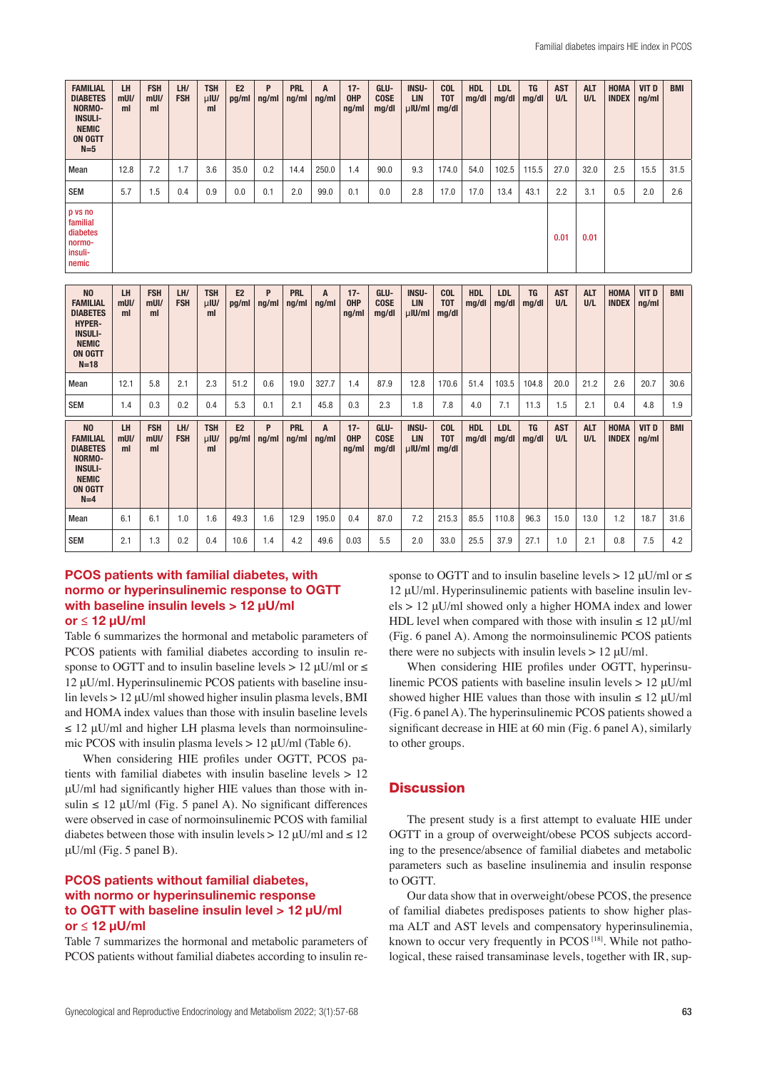| <b>FAMILIAL</b><br><b>DIABETES</b><br>NORMO-<br><b>INSULI-</b><br><b>NEMIC</b><br><b>ON OGTT</b><br>$N=5$ | LH<br>$m$ UI/<br>ml | <b>FSH</b><br>$m$ UI/<br>ml | LH/<br><b>FSH</b> | <b>TSH</b><br>$\mu$ IU/<br>ml | E <sub>2</sub><br>pg/ml | P<br>ng/ml | <b>PRL</b><br>ng/ml | A<br>$\lfloor$ ng/ml | $17 -$<br><b>OHP</b><br>ng/ml | GLU-<br><b>COSE</b><br>mg/dl | <b>INSU-</b><br><b>LIN</b><br>$\mu$ IU/ml | <b>COL</b><br><b>TOT</b><br>mg/dl | <b>HDL</b><br>mg/dl | <b>LDL</b><br>mg/dl | <b>TG</b><br>mg/dl | <b>AST</b><br>U/L | <b>ALT</b><br>U/L | <b>HOMA</b><br><b>INDEX</b> | VIT D<br>ng/ml | <b>BMI</b> |
|-----------------------------------------------------------------------------------------------------------|---------------------|-----------------------------|-------------------|-------------------------------|-------------------------|------------|---------------------|----------------------|-------------------------------|------------------------------|-------------------------------------------|-----------------------------------|---------------------|---------------------|--------------------|-------------------|-------------------|-----------------------------|----------------|------------|
| Mean                                                                                                      | 12.8                | 7.2                         | 1.7               | 3.6                           | 35.0                    | 0.2        | 14.4                | 250.0                | 1.4                           | 90.0                         | 9.3                                       | 174.0                             | 54.0                | 102.5               | 115.5              | 27.0              | 32.0              | 2.5                         | 15.5           | 31.5       |
| <b>SEM</b>                                                                                                | 5.7                 | 1.5                         | 0.4               | 0.9                           | 0.0                     | 0.1        | 2.0                 | 99.0                 | 0.1                           | 0.0                          | 2.8                                       | 17.0                              | 17.0                | 13.4                | 43.1               | 2.2               | 3.1               | 0.5                         | 2.0            | 2.6        |
| p vs no<br>familial<br>diabetes<br>normo-<br>insuli-<br>nemic                                             |                     |                             |                   |                               |                         |            |                     |                      |                               |                              |                                           |                                   |                     |                     |                    | 0.01              | 0.01              |                             |                |            |

| N <sub>0</sub><br><b>FAMILIAL</b><br><b>DIABETES</b><br><b>HYPER-</b><br><b>INSULI-</b><br><b>NEMIC</b><br><b>ON OGTT</b><br>$N=18$ | LH<br>$m$ UI/<br>ml | <b>FSH</b><br>$m$ UI/<br>ml | LH/<br><b>FSH</b> | <b>TSH</b><br>$\mu$ IU/<br>ml | E <sub>2</sub><br>pg/ml | P<br>ng/ml | <b>PRL</b><br>ng/ml | A<br>ng/ml | $17 -$<br><b>OHP</b><br>ng/ml | GLU-<br><b>COSE</b><br>mg/dl | <b>INSU-</b><br><b>LIN</b><br>$\mu$ IU/ml | <b>COL</b><br>T <sub>0</sub><br>mg/dl | <b>HDL</b><br>mg/dl | <b>LDL</b><br>mg/dl | <b>TG</b><br>mg/dl | <b>AST</b><br>U/L | <b>ALT</b><br>U/L | <b>HOMA</b><br><b>INDEX</b> | VIT D<br>ng/ml | <b>BMI</b> |
|-------------------------------------------------------------------------------------------------------------------------------------|---------------------|-----------------------------|-------------------|-------------------------------|-------------------------|------------|---------------------|------------|-------------------------------|------------------------------|-------------------------------------------|---------------------------------------|---------------------|---------------------|--------------------|-------------------|-------------------|-----------------------------|----------------|------------|
| Mean                                                                                                                                | 12.1                | 5.8                         | 2.1               | 2.3                           | 51.2                    | 0.6        | 19.0                | 327.7      | 1.4                           | 87.9                         | 12.8                                      | 170.6                                 | 51.4                | 103.5               | 104.8              | 20.0              | 21.2              | 2.6                         | 20.7           | 30.6       |
| <b>SEM</b>                                                                                                                          | 1.4                 | 0.3                         | 0.2               | 0.4                           | 5.3                     | 0.1        | 2.1                 | 45.8       | 0.3                           | 2.3                          | 1.8                                       | 7.8                                   | 4.0                 | 7.1                 | 11.3               | 1.5               | 2.1               | 0.4                         | 4.8            | 1.9        |
| N <sub>0</sub><br><b>FAMILIAL</b><br><b>DIABETES</b><br>NORMO-<br><b>INSULI-</b><br><b>NEMIC</b><br><b>ON OGTT</b><br>$N=4$         | LH<br>$m$ UI/<br>ml | <b>FSH</b><br>$m$ UI/<br>ml | LH/<br><b>FSH</b> | <b>TSH</b><br>$\mu$ IU/<br>ml | E2<br>pg/ml             | P<br>ng/ml | <b>PRL</b><br>ng/ml | A<br>ng/ml | $17 -$<br><b>OHP</b><br>ng/ml | GLU-<br><b>COSE</b><br>mg/dl | <b>INSU-</b><br><b>LIN</b><br>$\mu$ IU/ml | <b>COL</b><br>T <sub>0</sub><br>mg/dl | <b>HDL</b><br>mg/dl | <b>LDL</b><br>mg/dl | <b>TG</b><br>mg/dl | <b>AST</b><br>U/L | <b>ALT</b><br>U/L | <b>HOMA</b><br><b>INDEX</b> | VIT D<br>ng/ml | <b>BMI</b> |
| Mean                                                                                                                                | 6.1                 | 6.1                         | 1.0               | 1.6                           | 49.3                    | 1.6        | 12.9                | 195.0      | 0.4                           | 87.0                         | 7.2                                       | 215.3                                 | 85.5                | 110.8               | 96.3               | 15.0              | 13.0              | 1.2                         | 18.7           | 31.6       |
| <b>SEM</b>                                                                                                                          | 2.1                 | 1.3                         | 0.2               | 0.4                           | 10.6                    | 1.4        | 4.2                 | 49.6       | 0.03                          | 5.5                          | 2.0                                       | 33.0                                  | 25.5                | 37.9                | 27.1               | 1.0               | 2.1               | 0.8                         | 7.5            | 4.2        |

#### PCOS patients with familial diabetes, with normo or hyperinsulinemic response to OGTT with baseline insulin levels > 12 uU/ml or ≤ 12 µU/ml

Table 6 summarizes the hormonal and metabolic parameters of PCOS patients with familial diabetes according to insulin response to OGTT and to insulin baseline levels > 12  $\mu$ U/ml or  $\leq$ 12 μU/ml. Hyperinsulinemic PCOS patients with baseline insulin levels > 12 μU/ml showed higher insulin plasma levels, BMI and HOMA index values than those with insulin baseline levels  $\leq$  12 uU/ml and higher LH plasma levels than normoinsulinemic PCOS with insulin plasma levels  $> 12 \mu U/ml$  (Table 6).

When considering HIE profiles under OGTT, PCOS patients with familial diabetes with insulin baseline levels > 12 μU/ml had significantly higher HIE values than those with insulin  $\leq 12 \mu U/ml$  (Fig. 5 panel A). No significant differences were observed in case of normoinsulinemic PCOS with familial diabetes between those with insulin levels > 12  $\mu$ U/ml and  $\leq$  12  $\mu$ U/ml (Fig. 5 panel B).

# PCOS patients without familial diabetes, with normo or hyperinsulinemic response to OGTT with baseline insulin level > 12 µU/ml or ≤ 12 µU/ml

Table 7 summarizes the hormonal and metabolic parameters of PCOS patients without familial diabetes according to insulin response to OGTT and to insulin baseline levels > 12  $\mu$ U/ml or  $\le$ 12 μU/ml. Hyperinsulinemic patients with baseline insulin levels > 12 μU/ml showed only a higher HOMA index and lower HDL level when compared with those with insulin  $\leq 12$  uU/ml (Fig. 6 panel A). Among the normoinsulinemic PCOS patients there were no subjects with insulin levels  $> 12$  uU/ml.

When considering HIE profiles under OGTT, hyperinsulinemic PCOS patients with baseline insulin levels > 12 μU/ml showed higher HIE values than those with insulin  $\leq 12 \mu U/ml$ (Fig. 6 panel A). The hyperinsulinemic PCOS patients showed a significant decrease in HIE at 60 min (Fig. 6 panel A), similarly to other groups.

## **Discussion**

The present study is a first attempt to evaluate HIE under OGTT in a group of overweight/obese PCOS subjects according to the presence/absence of familial diabetes and metabolic parameters such as baseline insulinemia and insulin response to OGTT.

Our data show that in overweight/obese PCOS, the presence of familial diabetes predisposes patients to show higher plasma ALT and AST levels and compensatory hyperinsulinemia, known to occur very frequently in  $PCOS$  [18]. While not pathological, these raised transaminase levels, together with IR, sup-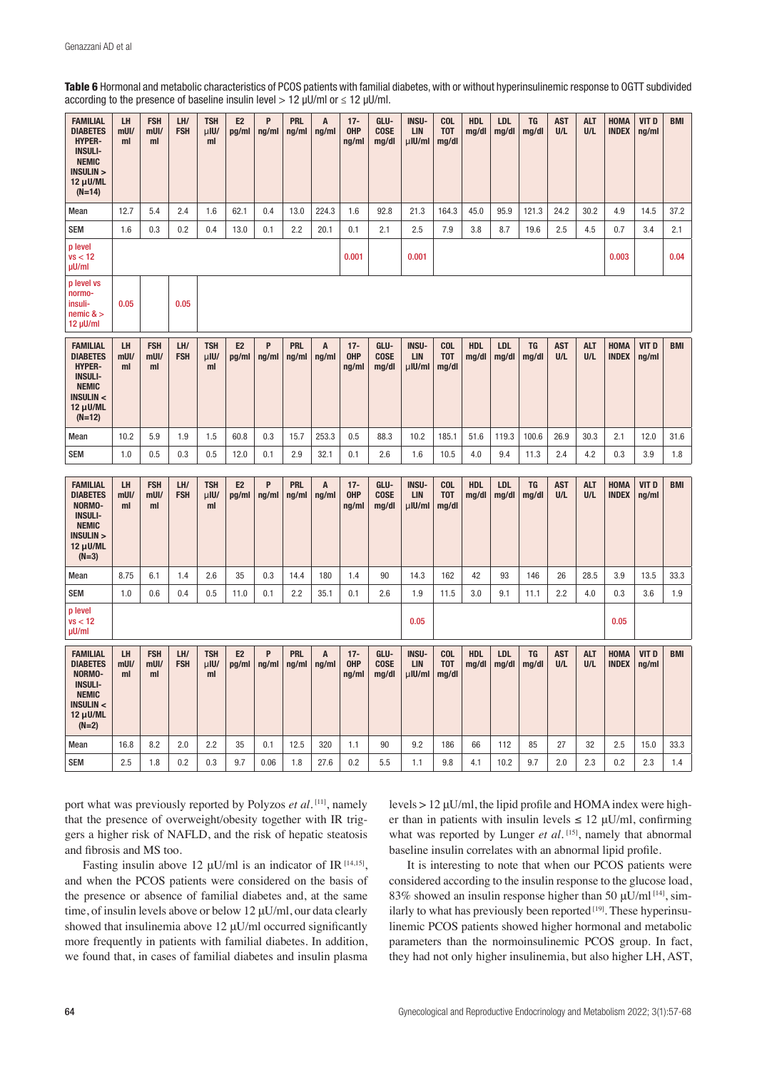| Table 6 Hormonal and metabolic characteristics of PCOS patients with familial diabetes, with or without hyperinsulinemic response to OGTT subdivided |  |  |
|------------------------------------------------------------------------------------------------------------------------------------------------------|--|--|
| according to the presence of baseline insulin level > 12 $\mu$ U/ml or $\leq$ 12 $\mu$ U/ml.                                                         |  |  |

| <b>FAMILIAL</b><br><b>DIABETES</b><br><b>HYPER-</b><br><b>INSULI-</b><br><b>NEMIC</b><br><b>INSULIN &gt;</b><br>12 µU/ML<br>$(N=14)$ | LH<br>$m$ UI/<br>ml        | <b>FSH</b><br>$m$ UI/<br>ml | LH/<br><b>FSH</b> | <b>TSH</b><br>$\mu$ IU/<br>ml | E2<br>pg/ml             | P<br>ng/ml | <b>PRL</b><br>ng/ml | A<br>ng/ml | $17 -$<br><b>OHP</b><br>ng/ml | GLU-<br><b>COSE</b><br>mg/dl | INSU-<br><b>LIN</b><br>$\mu$ IU/ml        | COL<br><b>TOT</b><br>mg/dl        | <b>HDL</b><br>mg/dl | <b>LDL</b><br>mg/dl | <b>TG</b><br>mg/dl | <b>AST</b><br>U/L | <b>ALT</b><br>U/L | <b>HOMA</b><br><b>INDEX</b> | VIT D<br>ng/ml | <b>BMI</b> |
|--------------------------------------------------------------------------------------------------------------------------------------|----------------------------|-----------------------------|-------------------|-------------------------------|-------------------------|------------|---------------------|------------|-------------------------------|------------------------------|-------------------------------------------|-----------------------------------|---------------------|---------------------|--------------------|-------------------|-------------------|-----------------------------|----------------|------------|
| Mean                                                                                                                                 | 12.7                       | 5.4                         | 2.4               | 1.6                           | 62.1                    | 0.4        | 13.0                | 224.3      | 1.6                           | 92.8                         | 21.3                                      | 164.3                             | 45.0                | 95.9                | 121.3              | 24.2              | 30.2              | 4.9                         | 14.5           | 37.2       |
| <b>SEM</b>                                                                                                                           | 1.6                        | 0.3                         | 0.2               | 0.4                           | 13.0                    | 0.1        | 2.2                 | 20.1       | 0.1                           | 2.1                          | 2.5                                       | 7.9                               | 3.8                 | 8.7                 | 19.6               | 2.5               | 4.5               | 0.7                         | 3.4            | 2.1        |
| p level<br>vs < 12<br>µU/ml                                                                                                          |                            |                             |                   |                               |                         |            |                     |            | 0.001                         |                              | 0.001                                     |                                   |                     |                     |                    |                   |                   | 0.003                       |                | 0.04       |
| p level vs<br>normo-<br>insuli-<br>$n$ emic & $\geq$<br>$12 \mu$ U/ml                                                                | 0.05                       |                             | 0.05              |                               |                         |            |                     |            |                               |                              |                                           |                                   |                     |                     |                    |                   |                   |                             |                |            |
| <b>FAMILIAL</b><br><b>DIABETES</b><br><b>HYPER-</b><br><b>INSULI-</b><br><b>NEMIC</b><br><b>INSULIN &lt;</b><br>12 µU/ML<br>$(N=12)$ | LH<br>$m$ UI/<br>ml        | <b>FSH</b><br>mUI/<br>ml    | LH/<br><b>FSH</b> | <b>TSH</b><br>$\mu$ IU/<br>ml | E <sub>2</sub><br>pg/ml | P<br>ng/ml | <b>PRL</b><br>ng/ml | A<br>ng/ml | $17 -$<br><b>OHP</b><br>ng/ml | GLU-<br><b>COSE</b><br>mg/dl | <b>INSU-</b><br><b>LIN</b><br>$\mu$ IU/ml | <b>COL</b><br><b>TOT</b><br>mg/dl | <b>HDL</b><br>mg/dl | <b>LDL</b><br>mg/dl | <b>TG</b><br>mg/dl | <b>AST</b><br>U/L | <b>ALT</b><br>U/L | <b>HOMA</b><br><b>INDEX</b> | VIT D<br>ng/ml | <b>BMI</b> |
| Mean                                                                                                                                 | 10.2                       | 5.9                         | 1.9               | 1.5                           | 60.8                    | 0.3        | 15.7                | 253.3      | 0.5                           | 88.3                         | 10.2                                      | 185.1                             | 51.6                | 119.3               | 100.6              | 26.9              | 30.3              | 2.1                         | 12.0           | 31.6       |
| <b>SEM</b>                                                                                                                           | 1.0                        | 0.5                         | 0.3               | 0.5                           | 12.0                    | 0.1        | 2.9                 | 32.1       | 0.1                           | 2.6                          | 1.6                                       | 10.5                              | 4.0                 | 9.4                 | 11.3               | 2.4               | 4.2               | 0.3                         | 3.9            | 1.8        |
| <b>FAMILIAL</b><br><b>DIABETES</b><br>NORMO-<br><b>INSULI-</b><br><b>NEMIC</b><br><b>INSULIN &gt;</b><br>$12 \mu$ U/ML<br>$(N=3)$    | <b>LH</b><br>$m$ UI/<br>ml | <b>FSH</b><br>$m$ UI/<br>ml | LH/<br><b>FSH</b> | <b>TSH</b><br>$\mu$ IU/<br>ml | E <sub>2</sub><br>pg/ml | P<br>ng/ml | <b>PRL</b><br>ng/ml | A<br>ng/ml | $17 -$<br><b>OHP</b><br>ng/ml | GLU-<br><b>COSE</b><br>mg/dl | <b>INSU-</b><br><b>LIN</b><br>$\mu$ IU/ml | <b>COL</b><br><b>TOT</b><br>mg/dl | <b>HDL</b><br>mg/dl | <b>LDL</b><br>mg/dl | <b>TG</b><br>mg/dl | <b>AST</b><br>U/L | <b>ALT</b><br>U/L | <b>HOMA</b><br><b>INDEX</b> | VIT D<br>ng/ml | <b>BMI</b> |
| Mean                                                                                                                                 | 8.75                       | 6.1                         | 1.4               | 2.6                           | 35                      | 0.3        | 14.4                | 180        | 1.4                           | 90                           | 14.3                                      | 162                               | 42                  | 93                  | 146                | 26                | 28.5              | 3.9                         | 13.5           | 33.3       |
| <b>SEM</b>                                                                                                                           | 1.0                        | 0.6                         | 0.4               | 0.5                           | 11.0                    | 0.1        | 2.2                 | 35.1       | 0.1                           | 2.6                          | 1.9                                       | 11.5                              | 3.0                 | 9.1                 | 11.1               | 2.2               | 4.0               | 0.3                         | 3.6            | $1.9\,$    |
| p level<br>vs < 12<br>µU/ml                                                                                                          |                            |                             |                   |                               |                         |            |                     |            |                               |                              | 0.05                                      |                                   |                     |                     |                    |                   |                   | 0.05                        |                |            |
| <b>FAMILIAL</b><br><b>DIABETES</b><br>NORMO-<br><b>INSULI-</b><br><b>NEMIC</b><br><b>INSULIN &lt;</b><br>$12 \mu$ U/ML<br>$(N=2)$    | <b>LH</b><br>$m$ UI/<br>ml | <b>FSH</b><br>$m$ UI/<br>ml | LH/<br><b>FSH</b> | <b>TSH</b><br>$\mu$ IU/<br>ml | E <sub>2</sub><br>pg/ml | P<br>ng/ml | <b>PRL</b><br>ng/ml | A<br>ng/ml | $17 -$<br><b>OHP</b><br>ng/ml | GLU-<br><b>COSE</b><br>mg/dl | <b>INSU-</b><br><b>LIN</b><br>$\mu$ IU/ml | <b>COL</b><br><b>TOT</b><br>mg/dl | <b>HDL</b><br>mg/dl | <b>LDL</b><br>mg/dl | TG<br>mg/dl        | <b>AST</b><br>U/L | <b>ALT</b><br>U/L | <b>HOMA</b><br><b>INDEX</b> | VIT D<br>ng/ml | <b>BMI</b> |
| Mean                                                                                                                                 | 16.8                       | 8.2                         | 2.0               | 2.2                           | 35                      | 0.1        | 12.5                | 320        | 1.1                           | 90                           | 9.2                                       | 186                               | 66                  | 112                 | 85                 | 27                | 32                | 2.5                         | 15.0           | 33.3       |
| <b>SEM</b>                                                                                                                           | 2.5                        | 1.8                         | 0.2               | 0.3                           | 9.7                     | 0.06       | 1.8                 | 27.6       | 0.2                           | 5.5                          | 1.1                                       | 9.8                               | 4.1                 | 10.2                | 9.7                | 2.0               | 2.3               | 0.2                         | 2.3            | 1.4        |

port what was previously reported by Polyzos *et al.* [11], namely that the presence of overweight/obesity together with IR triggers a higher risk of NAFLD, and the risk of hepatic steatosis and fibrosis and MS too.

Fasting insulin above 12  $\mu$ U/ml is an indicator of IR [14,15], and when the PCOS patients were considered on the basis of the presence or absence of familial diabetes and, at the same time, of insulin levels above or below 12 μU/ml, our data clearly showed that insulinemia above 12 μU/ml occurred significantly more frequently in patients with familial diabetes. In addition, we found that, in cases of familial diabetes and insulin plasma levels > 12 μU/ml, the lipid profile and HOMA index were higher than in patients with insulin levels  $\leq 12 \mu U/ml$ , confirming what was reported by Lunger *et al.*<sup>[15]</sup>, namely that abnormal baseline insulin correlates with an abnormal lipid profile.

It is interesting to note that when our PCOS patients were considered according to the insulin response to the glucose load, 83% showed an insulin response higher than 50  $\mu$ U/ml<sup>[14]</sup>, similarly to what has previously been reported  $[19]$ . These hyperinsulinemic PCOS patients showed higher hormonal and metabolic parameters than the normoinsulinemic PCOS group. In fact, they had not only higher insulinemia, but also higher LH, AST,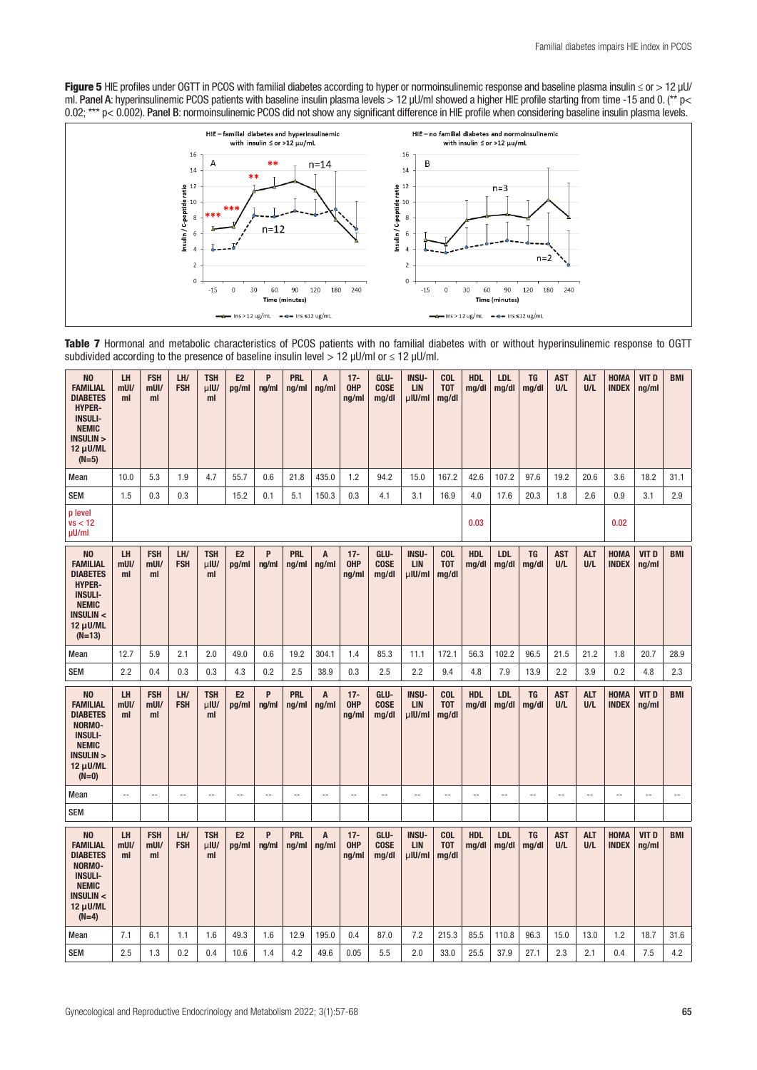Figure 5 HIE profiles under OGTT in PCOS with familial diabetes according to hyper or normoinsulinemic response and baseline plasma insulin ≤ or > 12 µU/ ml. Panel A: hyperinsulinemic PCOS patients with baseline insulin plasma levels > 12 μU/ml showed a higher HIE profile starting from time -15 and 0. (\*\* p< 0.02; \*\*\* p< 0.002). Panel B: normoinsulinemic PCOS did not show any significant difference in HIE profile when considering baseline insulin plasma levels.



Table 7 Hormonal and metabolic characteristics of PCOS patients with no familial diabetes with or without hyperinsulinemic response to OGTT subdivided according to the presence of baseline insulin level  $> 12 \mu U/m$  or  $\leq 12 \mu U/m$ .

| N <sub>O</sub><br><b>FAMILIAL</b><br><b>DIABETES</b><br><b>HYPER-</b><br><b>INSULI-</b><br><b>NEMIC</b><br>INSULIN ><br>$12 \mu$ U/ML<br>$(N=5)$            | LH<br>$m$ UI/<br>ml        | <b>FSH</b><br>$m$ UI/<br>ml | LH/<br><b>FSH</b> | <b>TSH</b><br>$\mu$ IU/<br>ml | E2<br>pg/ml             | P<br>ng/ml               | <b>PRL</b><br>ng/ml      | $\overline{A}$<br>ng/ml | $17 -$<br><b>OHP</b><br>ng/ml | GLU-<br><b>COSE</b><br>mg/dl | <b>INSU-</b><br><b>LIN</b><br>$\mu$ IU/ml | <b>COL</b><br>T <sub>0</sub> T<br>mg/dl | <b>HDL</b><br>mg/dl | LDL<br>mg/dl             | <b>TG</b><br>mg/dl | <b>AST</b><br>U/L | <b>ALT</b><br>U/L        | <b>HOMA</b><br><b>INDEX</b> | VIT D<br>ng/ml           | <b>BMI</b>               |
|-------------------------------------------------------------------------------------------------------------------------------------------------------------|----------------------------|-----------------------------|-------------------|-------------------------------|-------------------------|--------------------------|--------------------------|-------------------------|-------------------------------|------------------------------|-------------------------------------------|-----------------------------------------|---------------------|--------------------------|--------------------|-------------------|--------------------------|-----------------------------|--------------------------|--------------------------|
| Mean                                                                                                                                                        | 10.0                       | 5.3                         | 1.9               | 4.7                           | 55.7                    | 0.6                      | 21.8                     | 435.0                   | 1.2                           | 94.2                         | 15.0                                      | 167.2                                   | 42.6                | 107.2                    | 97.6               | 19.2              | 20.6                     | 3.6                         | 18.2                     | 31.1                     |
| <b>SEM</b>                                                                                                                                                  | 1.5                        | 0.3                         | 0.3               |                               | 15.2                    | 0.1                      | 5.1                      | 150.3                   | 0.3                           | 4.1                          | 3.1                                       | 16.9                                    | 4.0                 | 17.6                     | 20.3               | 1.8               | 2.6                      | 0.9                         | 3.1                      | 2.9                      |
| p level<br>vs < 12<br>µU/ml                                                                                                                                 |                            |                             |                   |                               |                         |                          |                          |                         |                               |                              |                                           |                                         | 0.03                |                          |                    |                   |                          | 0.02                        |                          |                          |
| N <sub>0</sub><br><b>FAMILIAL</b><br><b>DIABETES</b><br><b>HYPER-</b><br><b>INSULI-</b><br><b>NEMIC</b><br><b>INSULIN &lt;</b><br>$12 \mu$ U/ML<br>$(N=13)$ | <b>LH</b><br>$m$ UI/<br>ml | <b>FSH</b><br>$m$ UI/<br>ml | LH/<br><b>FSH</b> | <b>TSH</b><br>$\mu$ IU/<br>ml | E <sub>2</sub><br>pg/ml | P<br>ng/ml               | <b>PRL</b><br>ng/ml      | A<br>ng/ml              | $17 -$<br><b>OHP</b><br>ng/ml | GLU-<br><b>COSE</b><br>mq/dl | <b>INSU-</b><br><b>LIN</b><br>$\mu$ IU/ml | <b>COL</b><br><b>TOT</b><br>mg/dl       | <b>HDL</b><br>mg/dl | <b>LDL</b><br>mg/dl      | <b>TG</b><br>mg/dl | <b>AST</b><br>U/L | <b>ALT</b><br>U/L        | <b>HOMA</b><br><b>INDEX</b> | VIT D<br>ng/ml           | <b>BMI</b>               |
| Mean                                                                                                                                                        | 12.7                       | 5.9                         | 2.1               | 2.0                           | 49.0                    | 0.6                      | 19.2                     | 304.1                   | 1.4                           | 85.3                         | 11.1                                      | 172.1                                   | 56.3                | 102.2                    | 96.5               | 21.5              | 21.2                     | 1.8                         | 20.7                     | 28.9                     |
| <b>SEM</b>                                                                                                                                                  | 2.2                        | 0.4                         | 0.3               | 0.3                           | 4.3                     | 0.2                      | 2.5                      | 38.9                    | 0.3                           | 2.5                          | 2.2                                       | 9.4                                     | 4.8                 | 7.9                      | 13.9               | 2.2               | 3.9                      | 0.2                         | 4.8                      | 2.3                      |
| N <sub>0</sub><br><b>FAMILIAL</b><br><b>DIABETES</b><br>NORMO-<br><b>INSULI-</b><br><b>NEMIC</b><br><b>INSULIN &gt;</b><br>$12 \mu$ U/ML<br>$(N=0)$         | <b>LH</b><br>$m$ UI/<br>ml | <b>FSH</b><br>$m$ Ul/<br>ml | LH/<br><b>FSH</b> | <b>TSH</b><br>$\mu$ IU/<br>ml | E <sub>2</sub><br>pg/ml | P<br>ng/ml               | <b>PRL</b><br>nq/ml      | A<br>ng/ml              | $17 -$<br><b>OHP</b><br>ng/ml | GLU-<br><b>COSE</b><br>mg/dl | <b>INSU-</b><br><b>LIN</b><br>$\mu$ IU/ml | <b>COL</b><br>T <sub>0</sub> T<br>mg/dl | <b>HDL</b><br>mg/dl | <b>LDL</b><br>mg/dl      | <b>TG</b><br>mg/dl | <b>AST</b><br>U/L | <b>ALT</b><br>U/L        | <b>HOMA</b><br><b>INDEX</b> | VIT D<br>ng/ml           | <b>BMI</b>               |
| Mean                                                                                                                                                        | --                         | $\overline{\phantom{a}}$    | $\overline{a}$    | $\overline{\phantom{a}}$      | Ξ.                      | $\overline{\phantom{a}}$ | $\overline{\phantom{a}}$ | Ξ.                      | $\overline{\phantom{a}}$      | $\overline{\phantom{a}}$     | $\overline{\phantom{a}}$                  | $\overline{a}$                          | $\overline{a}$      | $\overline{\phantom{a}}$ | --                 | $\overline{a}$    | $\overline{\phantom{a}}$ | --                          | $\overline{\phantom{a}}$ | $\overline{\phantom{a}}$ |
| <b>SEM</b>                                                                                                                                                  |                            |                             |                   |                               |                         |                          |                          |                         |                               |                              |                                           |                                         |                     |                          |                    |                   |                          |                             |                          |                          |
| N <sub>0</sub><br><b>FAMILIAL</b><br><b>DIABETES</b><br>NORMO-<br><b>INSULI-</b><br><b>NEMIC</b><br><b>INSULIN &lt;</b><br>$12 \mu$ U/ML<br>$(N=4)$         | LH<br>$m$ UI/<br>ml        | <b>FSH</b><br>$m$ Ul/<br>ml | LH/<br><b>FSH</b> | <b>TSH</b><br>$\mu$ IU/<br>ml | E <sub>2</sub><br>pg/ml | P<br>ng/ml               | <b>PRL</b><br>ng/ml      | A<br>ng/ml              | $17 -$<br><b>OHP</b><br>ng/ml | GLU-<br><b>COSE</b><br>mg/dl | <b>INSU-</b><br><b>LIN</b><br>$\mu$ IU/ml | <b>COL</b><br><b>TOT</b><br>mg/dl       | <b>HDL</b><br>mg/dl | <b>LDL</b><br>mg/dl      | <b>TG</b><br>mg/dl | <b>AST</b><br>U/L | <b>ALT</b><br>U/L        | <b>HOMA</b><br><b>INDEX</b> | VIT D<br>ng/ml           | <b>BMI</b>               |
| Mean                                                                                                                                                        | 7.1                        | 6.1                         | 1.1               | 1.6                           | 49.3                    | 1.6                      | 12.9                     | 195.0                   | 0.4                           | 87.0                         | 7.2                                       | 215.3                                   | 85.5                | 110.8                    | 96.3               | 15.0              | 13.0                     | 1.2                         | 18.7                     | 31.6                     |
| <b>SEM</b>                                                                                                                                                  | 2.5                        | 1.3                         | 0.2               | 0.4                           | 10.6                    | 1.4                      | 4.2                      | 49.6                    | 0.05                          | 5.5                          | 2.0                                       | 33.0                                    | 25.5                | 37.9                     | 27.1               | 2.3               | 2.1                      | 0.4                         | 7.5                      | 4.2                      |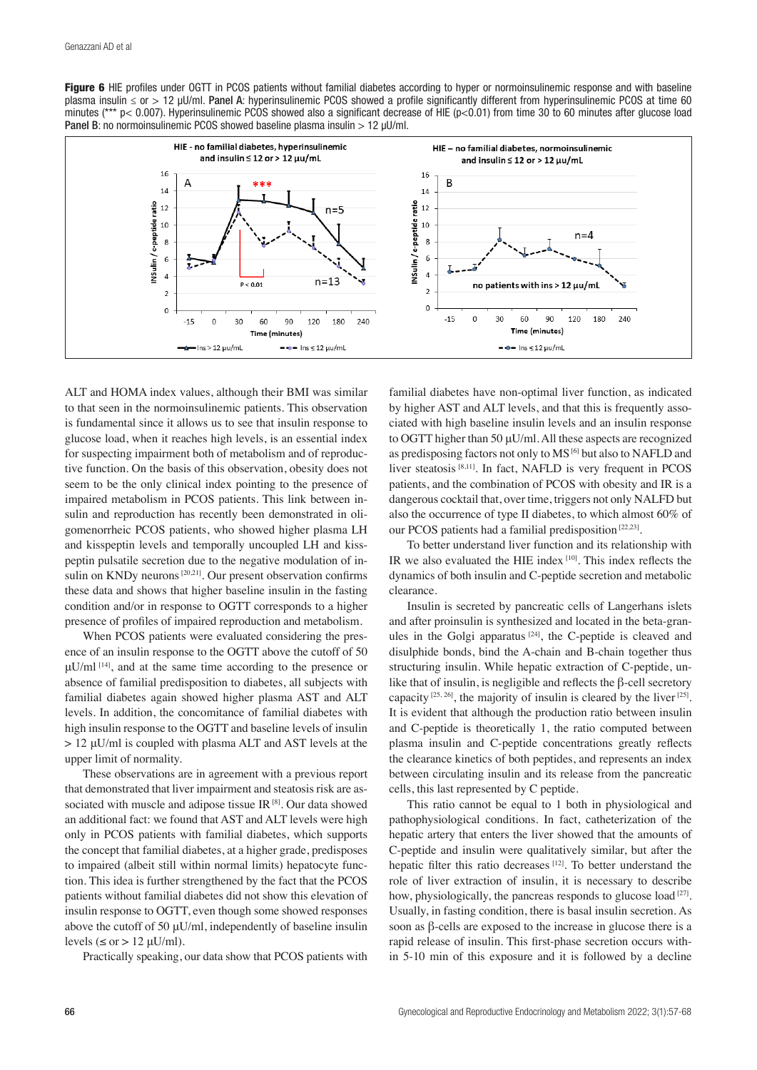Figure 6 HIE profiles under OGTT in PCOS patients without familial diabetes according to hyper or normoinsulinemic response and with baseline plasma insulin ≤ or > 12 µU/ml. Panel A: hyperinsulinemic PCOS showed a profile significantly different from hyperinsulinemic PCOS at time 60 minutes (\*\*\* p< 0.007). Hyperinsulinemic PCOS showed also a significant decrease of HIE (p<0.01) from time 30 to 60 minutes after glucose load Panel B: no normoinsulinemic PCOS showed baseline plasma insulin > 12 µU/ml.



ALT and HOMA index values, although their BMI was similar to that seen in the normoinsulinemic patients. This observation is fundamental since it allows us to see that insulin response to glucose load, when it reaches high levels, is an essential index for suspecting impairment both of metabolism and of reproductive function. On the basis of this observation, obesity does not seem to be the only clinical index pointing to the presence of impaired metabolism in PCOS patients. This link between insulin and reproduction has recently been demonstrated in oligomenorrheic PCOS patients, who showed higher plasma LH and kisspeptin levels and temporally uncoupled LH and kisspeptin pulsatile secretion due to the negative modulation of insulin on KNDy neurons [20,21]. Our present observation confirms these data and shows that higher baseline insulin in the fasting condition and/or in response to OGTT corresponds to a higher presence of profiles of impaired reproduction and metabolism.

When PCOS patients were evaluated considering the presence of an insulin response to the OGTT above the cutoff of 50  $\mu$ U/ml<sup>[14]</sup>, and at the same time according to the presence or absence of familial predisposition to diabetes, all subjects with familial diabetes again showed higher plasma AST and ALT levels. In addition, the concomitance of familial diabetes with high insulin response to the OGTT and baseline levels of insulin > 12 μU/ml is coupled with plasma ALT and AST levels at the upper limit of normality.

These observations are in agreement with a previous report that demonstrated that liver impairment and steatosis risk are associated with muscle and adipose tissue IR [8]. Our data showed an additional fact: we found that AST and ALT levels were high only in PCOS patients with familial diabetes, which supports the concept that familial diabetes, at a higher grade, predisposes to impaired (albeit still within normal limits) hepatocyte function. This idea is further strengthened by the fact that the PCOS patients without familial diabetes did not show this elevation of insulin response to OGTT, even though some showed responses above the cutoff of 50 μU/ml, independently of baseline insulin levels ( $\leq$  or  $> 12$  uU/ml).

Practically speaking, our data show that PCOS patients with

familial diabetes have non-optimal liver function, as indicated by higher AST and ALT levels, and that this is frequently associated with high baseline insulin levels and an insulin response to OGTT higher than 50 μU/ml. All these aspects are recognized as predisposing factors not only to MS [6] but also to NAFLD and liver steatosis [8,11]. In fact, NAFLD is very frequent in PCOS patients, and the combination of PCOS with obesity and IR is a dangerous cocktail that, over time, triggers not only NALFD but also the occurrence of type II diabetes, to which almost 60% of our PCOS patients had a familial predisposition [22,23].

To better understand liver function and its relationship with IR we also evaluated the HIE index [10]. This index reflects the dynamics of both insulin and C-peptide secretion and metabolic clearance.

Insulin is secreted by pancreatic cells of Langerhans islets and after proinsulin is synthesized and located in the beta-granules in the Golgi apparatus  $[24]$ , the C-peptide is cleaved and disulphide bonds, bind the A-chain and B-chain together thus structuring insulin. While hepatic extraction of C-peptide, unlike that of insulin, is negligible and reflects the β-cell secretory capacity  $[25, 26]$ , the majority of insulin is cleared by the liver  $[25]$ . It is evident that although the production ratio between insulin and C-peptide is theoretically 1, the ratio computed between plasma insulin and C-peptide concentrations greatly reflects the clearance kinetics of both peptides, and represents an index between circulating insulin and its release from the pancreatic cells, this last represented by C peptide.

This ratio cannot be equal to 1 both in physiological and pathophysiological conditions. In fact, catheterization of the hepatic artery that enters the liver showed that the amounts of C-peptide and insulin were qualitatively similar, but after the hepatic filter this ratio decreases [12]. To better understand the role of liver extraction of insulin, it is necessary to describe how, physiologically, the pancreas responds to glucose load<sup>[27]</sup>. Usually, in fasting condition, there is basal insulin secretion. As soon as β-cells are exposed to the increase in glucose there is a rapid release of insulin. This first-phase secretion occurs within 5-10 min of this exposure and it is followed by a decline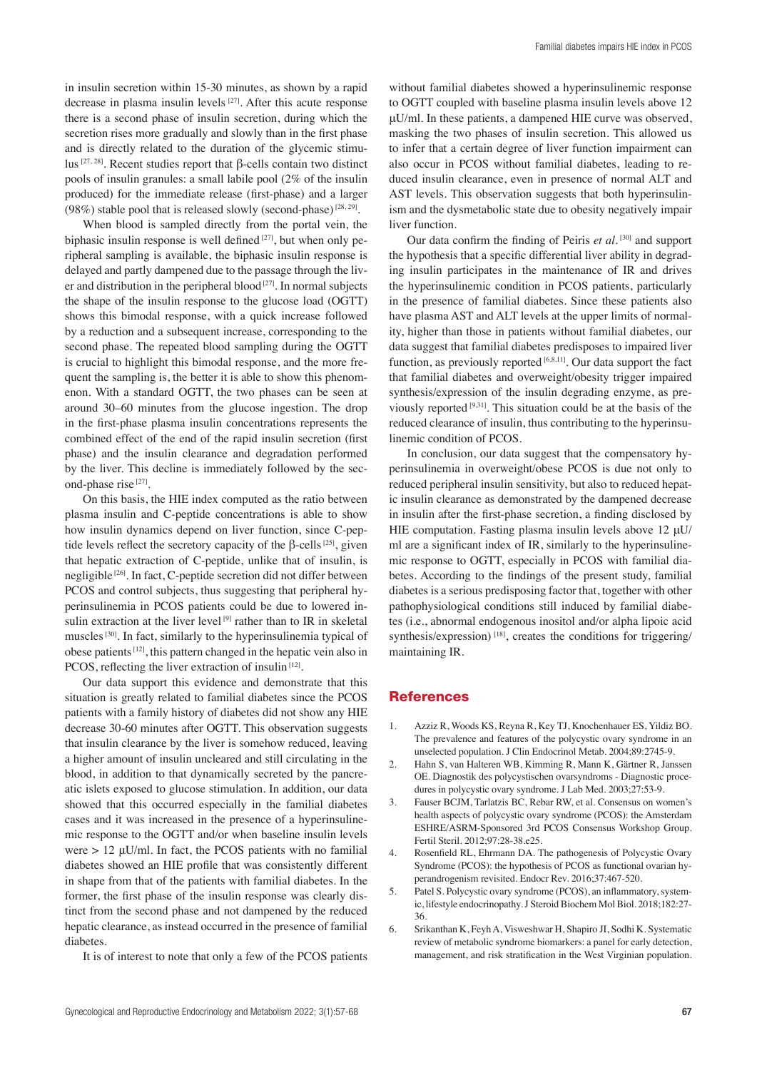in insulin secretion within 15-30 minutes, as shown by a rapid decrease in plasma insulin levels [27]. After this acute response there is a second phase of insulin secretion, during which the secretion rises more gradually and slowly than in the first phase and is directly related to the duration of the glycemic stimulus [27, 28]. Recent studies report that β-cells contain two distinct pools of insulin granules: a small labile pool (2% of the insulin produced) for the immediate release (first-phase) and a larger (98%) stable pool that is released slowly (second-phase)  $[28, 29]$ .

When blood is sampled directly from the portal vein, the biphasic insulin response is well defined  $[27]$ , but when only peripheral sampling is available, the biphasic insulin response is delayed and partly dampened due to the passage through the liver and distribution in the peripheral blood<sup>[27]</sup>. In normal subjects the shape of the insulin response to the glucose load (OGTT) shows this bimodal response, with a quick increase followed by a reduction and a subsequent increase, corresponding to the second phase. The repeated blood sampling during the OGTT is crucial to highlight this bimodal response, and the more frequent the sampling is, the better it is able to show this phenomenon. With a standard OGTT, the two phases can be seen at around 30–60 minutes from the glucose ingestion. The drop in the first-phase plasma insulin concentrations represents the combined effect of the end of the rapid insulin secretion (first phase) and the insulin clearance and degradation performed by the liver. This decline is immediately followed by the second-phase rise [27].

On this basis, the HIE index computed as the ratio between plasma insulin and C-peptide concentrations is able to show how insulin dynamics depend on liver function, since C-peptide levels reflect the secretory capacity of the β-cells  $[25]$ , given that hepatic extraction of C-peptide, unlike that of insulin, is negligible [26]. In fact, C-peptide secretion did not differ between PCOS and control subjects, thus suggesting that peripheral hyperinsulinemia in PCOS patients could be due to lowered insulin extraction at the liver level  $[9]$  rather than to IR in skeletal muscles [30]. In fact, similarly to the hyperinsulinemia typical of obese patients [12], this pattern changed in the hepatic vein also in PCOS, reflecting the liver extraction of insulin<sup>[12]</sup>.

Our data support this evidence and demonstrate that this situation is greatly related to familial diabetes since the PCOS patients with a family history of diabetes did not show any HIE decrease 30-60 minutes after OGTT. This observation suggests that insulin clearance by the liver is somehow reduced, leaving a higher amount of insulin uncleared and still circulating in the blood, in addition to that dynamically secreted by the pancreatic islets exposed to glucose stimulation. In addition, our data showed that this occurred especially in the familial diabetes cases and it was increased in the presence of a hyperinsulinemic response to the OGTT and/or when baseline insulin levels were  $> 12 \mu U/ml$ . In fact, the PCOS patients with no familial diabetes showed an HIE profile that was consistently different in shape from that of the patients with familial diabetes. In the former, the first phase of the insulin response was clearly distinct from the second phase and not dampened by the reduced hepatic clearance, as instead occurred in the presence of familial diabetes.

It is of interest to note that only a few of the PCOS patients

without familial diabetes showed a hyperinsulinemic response to OGTT coupled with baseline plasma insulin levels above 12 μU/ml. In these patients, a dampened HIE curve was observed, masking the two phases of insulin secretion. This allowed us to infer that a certain degree of liver function impairment can also occur in PCOS without familial diabetes, leading to reduced insulin clearance, even in presence of normal ALT and AST levels. This observation suggests that both hyperinsulinism and the dysmetabolic state due to obesity negatively impair liver function.

Our data confirm the finding of Peiris *et al*.<sup>[30]</sup> and support the hypothesis that a specific differential liver ability in degrading insulin participates in the maintenance of IR and drives the hyperinsulinemic condition in PCOS patients, particularly in the presence of familial diabetes. Since these patients also have plasma AST and ALT levels at the upper limits of normality, higher than those in patients without familial diabetes, our data suggest that familial diabetes predisposes to impaired liver function, as previously reported [6,8,11]. Our data support the fact that familial diabetes and overweight/obesity trigger impaired synthesis/expression of the insulin degrading enzyme, as previously reported [9,31]. This situation could be at the basis of the reduced clearance of insulin, thus contributing to the hyperinsulinemic condition of PCOS.

In conclusion, our data suggest that the compensatory hyperinsulinemia in overweight/obese PCOS is due not only to reduced peripheral insulin sensitivity, but also to reduced hepatic insulin clearance as demonstrated by the dampened decrease in insulin after the first-phase secretion, a finding disclosed by HIE computation. Fasting plasma insulin levels above 12 μU/ ml are a significant index of IR, similarly to the hyperinsulinemic response to OGTT, especially in PCOS with familial diabetes. According to the findings of the present study, familial diabetes is a serious predisposing factor that, together with other pathophysiological conditions still induced by familial diabetes (i.e., abnormal endogenous inositol and/or alpha lipoic acid synthesis/expression)<sup>[18]</sup>, creates the conditions for triggering/ maintaining IR.

#### **References**

- 1. Azziz R, Woods KS, Reyna R, Key TJ, Knochenhauer ES, Yildiz BO. The prevalence and features of the polycystic ovary syndrome in an unselected population. J Clin Endocrinol Metab. 2004;89:2745-9.
- 2. Hahn S, van Halteren WB, Kimming R, Mann K, Gärtner R, Janssen OE. Diagnostik des polycystischen ovarsyndroms - Diagnostic procedures in polycystic ovary syndrome. J Lab Med. 2003;27:53-9.
- 3. Fauser BCJM, Tarlatzis BC, Rebar RW, et al. Consensus on women's health aspects of polycystic ovary syndrome (PCOS): the Amsterdam ESHRE/ASRM-Sponsored 3rd PCOS Consensus Workshop Group. Fertil Steril. 2012;97:28-38.e25.
- 4. Rosenfield RL, Ehrmann DA. The pathogenesis of Polycystic Ovary Syndrome (PCOS): the hypothesis of PCOS as functional ovarian hyperandrogenism revisited. Endocr Rev. 2016;37:467-520.
- Patel S. Polycystic ovary syndrome (PCOS), an inflammatory, systemic, lifestyle endocrinopathy. J Steroid Biochem Mol Biol. 2018;182:27- 36.
- 6. Srikanthan K, Feyh A, Visweshwar H, Shapiro JI, Sodhi K. Systematic review of metabolic syndrome biomarkers: a panel for early detection, management, and risk stratification in the West Virginian population.